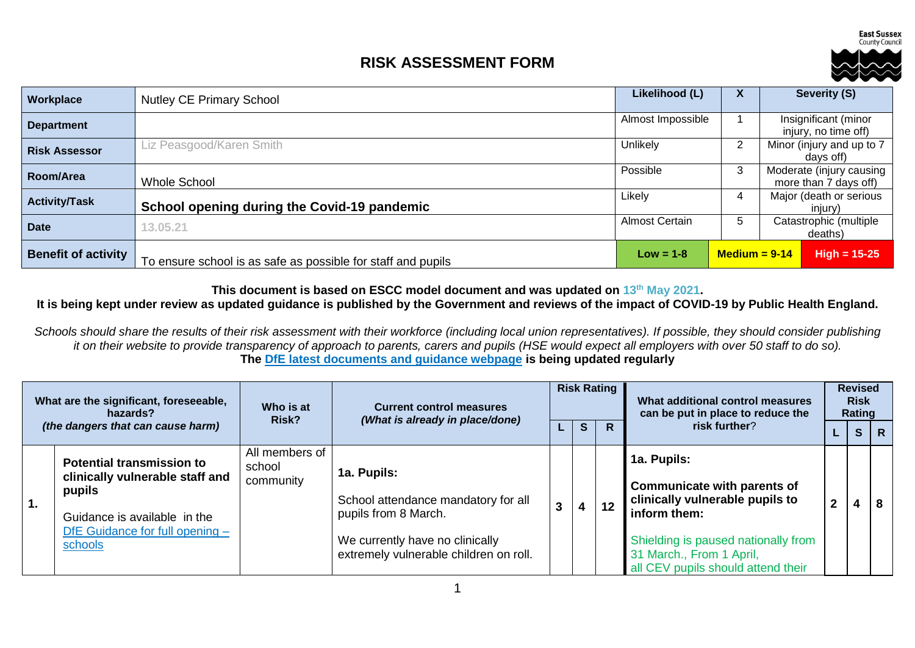**East Sussex** County Council

## **RISK ASSESSMENT FORM**



| Workplace                  | <b>Nutley CE Primary School</b>                              | Likelihood (L)        | $\boldsymbol{\mathsf{A}}$ | Severity (S)                                      |
|----------------------------|--------------------------------------------------------------|-----------------------|---------------------------|---------------------------------------------------|
| <b>Department</b>          |                                                              | Almost Impossible     |                           | Insignificant (minor<br>injury, no time off)      |
| <b>Risk Assessor</b>       | Liz Peasgood/Karen Smith                                     | Unlikely              | 2                         | Minor (injury and up to 7<br>davs off)            |
| Room/Area                  | <b>Whole School</b>                                          | Possible              | 3                         | Moderate (injury causing<br>more than 7 days off) |
| <b>Activity/Task</b>       | School opening during the Covid-19 pandemic                  | Likely                | 4                         | Major (death or serious<br>injury)                |
| <b>Date</b>                | 13.05.21                                                     | <b>Almost Certain</b> | b                         | Catastrophic (multiple<br>deaths)                 |
| <b>Benefit of activity</b> | To ensure school is as safe as possible for staff and pupils | $Low = 1-8$           | $Median = 9-14$           | $High = 15-25$                                    |

**This document is based on ESCC model document and was updated on 13th May 2021.**

## **It is being kept under review as updated guidance is published by the Government and reviews of the impact of COVID-19 by Public Health England.**

*Schools should share the results of their risk assessment with their workforce (including local union representatives). If possible, they should consider publishing it on their website to provide transparency of approach to parents, carers and pupils (HSE would expect all employers with over 50 staff to do so).* **The [DfE latest documents and guidance webpage](https://www.gov.uk/government/latest?departments%5B%5D=department-for-education) is being updated regularly**

| What are the significant, foreseeable,<br>hazards? |                                                                                                               | Who is at<br>Risk?                    | <b>Risk Rating</b><br><b>Current control measures</b><br>(What is already in place/done) |  | What additional control measures<br>can be put in place to reduce the |    | <b>Revised</b><br><b>Risk</b><br>Rating                                                               |   |                |   |
|----------------------------------------------------|---------------------------------------------------------------------------------------------------------------|---------------------------------------|------------------------------------------------------------------------------------------|--|-----------------------------------------------------------------------|----|-------------------------------------------------------------------------------------------------------|---|----------------|---|
|                                                    | (the dangers that can cause harm)                                                                             |                                       |                                                                                          |  | S                                                                     | R  | risk further?                                                                                         |   | S <sub>1</sub> | R |
| $^{\dagger}$ 1.                                    | <b>Potential transmission to</b><br>clinically vulnerable staff and<br>pupils<br>Guidance is available in the | All members of<br>school<br>community | 1a. Pupils:<br>School attendance mandatory for all<br>pupils from 8 March.               |  | 4                                                                     | 12 | 1a. Pupils:<br><b>Communicate with parents of</b><br>clinically vulnerable pupils to<br>inform them:  | າ | 4              |   |
|                                                    | DfE Guidance for full opening -<br>schools                                                                    |                                       | We currently have no clinically<br>extremely vulnerable children on roll.                |  |                                                                       |    | Shielding is paused nationally from<br>31 March., From 1 April,<br>all CEV pupils should attend their |   |                |   |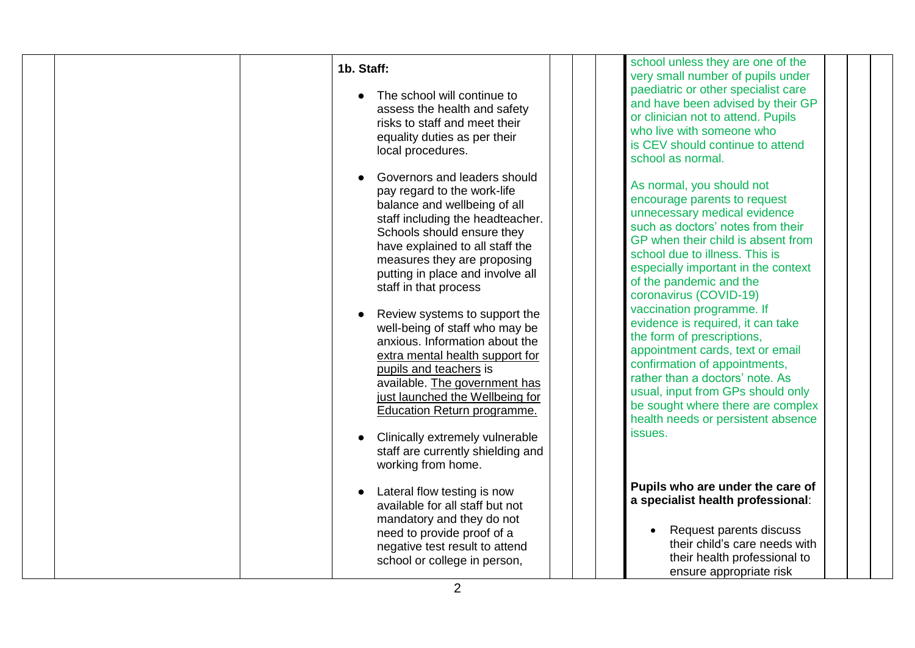| 1b. Staff:<br>The school will continue to<br>assess the health and safety<br>risks to staff and meet their<br>equality duties as per their<br>local procedures.<br>Governors and leaders should<br>pay regard to the work-life<br>balance and wellbeing of all<br>staff including the headteacher.<br>Schools should ensure they<br>have explained to all staff the<br>measures they are proposing<br>putting in place and involve all<br>staff in that process<br>Review systems to support the<br>well-being of staff who may be<br>anxious. Information about the<br>extra mental health support for<br>pupils and teachers is<br>available. The government has<br>just launched the Wellbeing for<br>Education Return programme.<br>Clinically extremely vulnerable | school unless they are one of the<br>very small number of pupils under<br>paediatric or other specialist care<br>and have been advised by their GP<br>or clinician not to attend. Pupils<br>who live with someone who<br>is CEV should continue to attend<br>school as normal.<br>As normal, you should not<br>encourage parents to request<br>unnecessary medical evidence<br>such as doctors' notes from their<br>GP when their child is absent from<br>school due to illness. This is<br>especially important in the context<br>of the pandemic and the<br>coronavirus (COVID-19)<br>vaccination programme. If<br>evidence is required, it can take<br>the form of prescriptions,<br>appointment cards, text or email<br>confirmation of appointments,<br>rather than a doctors' note. As<br>usual, input from GPs should only<br>be sought where there are complex<br>health needs or persistent absence<br>issues. |
|-------------------------------------------------------------------------------------------------------------------------------------------------------------------------------------------------------------------------------------------------------------------------------------------------------------------------------------------------------------------------------------------------------------------------------------------------------------------------------------------------------------------------------------------------------------------------------------------------------------------------------------------------------------------------------------------------------------------------------------------------------------------------|-------------------------------------------------------------------------------------------------------------------------------------------------------------------------------------------------------------------------------------------------------------------------------------------------------------------------------------------------------------------------------------------------------------------------------------------------------------------------------------------------------------------------------------------------------------------------------------------------------------------------------------------------------------------------------------------------------------------------------------------------------------------------------------------------------------------------------------------------------------------------------------------------------------------------|
| staff are currently shielding and<br>working from home.                                                                                                                                                                                                                                                                                                                                                                                                                                                                                                                                                                                                                                                                                                                 |                                                                                                                                                                                                                                                                                                                                                                                                                                                                                                                                                                                                                                                                                                                                                                                                                                                                                                                         |
| Lateral flow testing is now<br>available for all staff but not<br>mandatory and they do not<br>need to provide proof of a<br>negative test result to attend<br>school or college in person,                                                                                                                                                                                                                                                                                                                                                                                                                                                                                                                                                                             | Pupils who are under the care of<br>a specialist health professional:<br>Request parents discuss<br>their child's care needs with<br>their health professional to<br>ensure appropriate risk                                                                                                                                                                                                                                                                                                                                                                                                                                                                                                                                                                                                                                                                                                                            |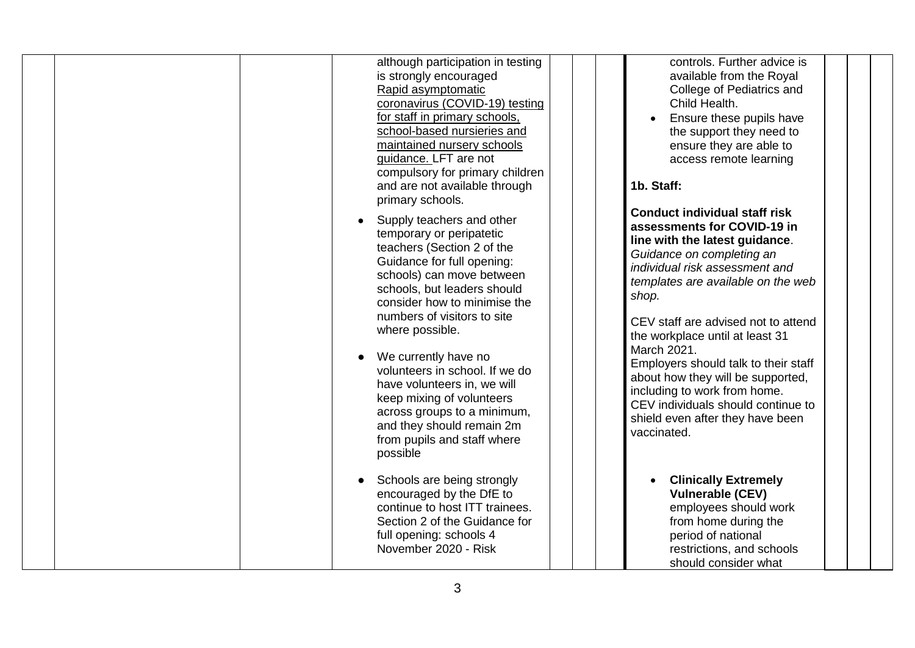| although participation in testing<br>is strongly encouraged<br>Rapid asymptomatic<br>coronavirus (COVID-19) testing<br>for staff in primary schools,<br>school-based nursieries and<br>maintained nursery schools<br>guidance. LFT are not<br>compulsory for primary children<br>and are not available through<br>primary schools.<br>Supply teachers and other<br>temporary or peripatetic<br>teachers (Section 2 of the<br>Guidance for full opening:<br>schools) can move between<br>schools, but leaders should<br>consider how to minimise the<br>numbers of visitors to site<br>where possible.<br>We currently have no<br>volunteers in school. If we do<br>have volunteers in, we will<br>keep mixing of volunteers<br>across groups to a minimum,<br>and they should remain 2m<br>from pupils and staff where<br>possible | controls. Further advice is<br>available from the Royal<br>College of Pediatrics and<br>Child Health.<br>Ensure these pupils have<br>the support they need to<br>ensure they are able to<br>access remote learning<br>1b. Staff:<br><b>Conduct individual staff risk</b><br>assessments for COVID-19 in<br>line with the latest guidance.<br>Guidance on completing an<br>individual risk assessment and<br>templates are available on the web<br>shop.<br>CEV staff are advised not to attend<br>the workplace until at least 31<br>March 2021.<br>Employers should talk to their staff<br>about how they will be supported,<br>including to work from home.<br>CEV individuals should continue to<br>shield even after they have been<br>vaccinated. |
|------------------------------------------------------------------------------------------------------------------------------------------------------------------------------------------------------------------------------------------------------------------------------------------------------------------------------------------------------------------------------------------------------------------------------------------------------------------------------------------------------------------------------------------------------------------------------------------------------------------------------------------------------------------------------------------------------------------------------------------------------------------------------------------------------------------------------------|--------------------------------------------------------------------------------------------------------------------------------------------------------------------------------------------------------------------------------------------------------------------------------------------------------------------------------------------------------------------------------------------------------------------------------------------------------------------------------------------------------------------------------------------------------------------------------------------------------------------------------------------------------------------------------------------------------------------------------------------------------|
| Schools are being strongly<br>encouraged by the DfE to<br>continue to host ITT trainees.<br>Section 2 of the Guidance for<br>full opening: schools 4<br>November 2020 - Risk                                                                                                                                                                                                                                                                                                                                                                                                                                                                                                                                                                                                                                                       | <b>Clinically Extremely</b><br>$\bullet$<br><b>Vulnerable (CEV)</b><br>employees should work<br>from home during the<br>period of national<br>restrictions, and schools<br>should consider what                                                                                                                                                                                                                                                                                                                                                                                                                                                                                                                                                        |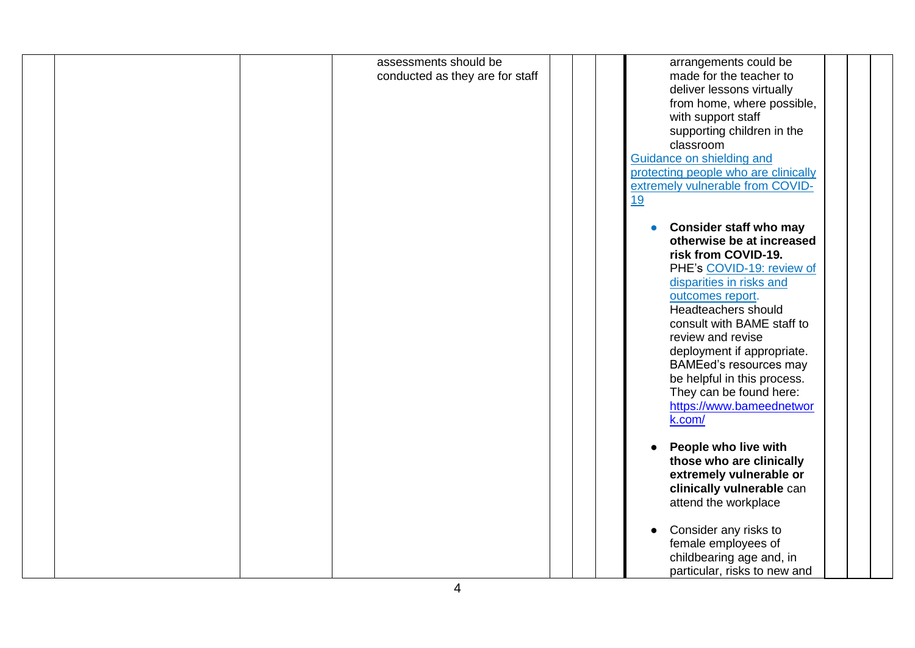|  | assessments should be           |  | arrangements could be                |  |
|--|---------------------------------|--|--------------------------------------|--|
|  | conducted as they are for staff |  | made for the teacher to              |  |
|  |                                 |  | deliver lessons virtually            |  |
|  |                                 |  | from home, where possible,           |  |
|  |                                 |  | with support staff                   |  |
|  |                                 |  | supporting children in the           |  |
|  |                                 |  |                                      |  |
|  |                                 |  | classroom                            |  |
|  |                                 |  | Guidance on shielding and            |  |
|  |                                 |  | protecting people who are clinically |  |
|  |                                 |  | extremely vulnerable from COVID-     |  |
|  |                                 |  | 19                                   |  |
|  |                                 |  |                                      |  |
|  |                                 |  | <b>Consider staff who may</b>        |  |
|  |                                 |  | otherwise be at increased            |  |
|  |                                 |  | risk from COVID-19.                  |  |
|  |                                 |  | PHE's COVID-19: review of            |  |
|  |                                 |  | disparities in risks and             |  |
|  |                                 |  | outcomes report.                     |  |
|  |                                 |  | Headteachers should                  |  |
|  |                                 |  | consult with BAME staff to           |  |
|  |                                 |  | review and revise                    |  |
|  |                                 |  | deployment if appropriate.           |  |
|  |                                 |  | <b>BAMEed's resources may</b>        |  |
|  |                                 |  | be helpful in this process.          |  |
|  |                                 |  | They can be found here:              |  |
|  |                                 |  | https://www.bameednetwor             |  |
|  |                                 |  | k.com/                               |  |
|  |                                 |  |                                      |  |
|  |                                 |  | People who live with                 |  |
|  |                                 |  | those who are clinically             |  |
|  |                                 |  | extremely vulnerable or              |  |
|  |                                 |  | clinically vulnerable can            |  |
|  |                                 |  | attend the workplace                 |  |
|  |                                 |  |                                      |  |
|  |                                 |  | Consider any risks to                |  |
|  |                                 |  | female employees of                  |  |
|  |                                 |  |                                      |  |
|  |                                 |  | childbearing age and, in             |  |
|  |                                 |  | particular, risks to new and         |  |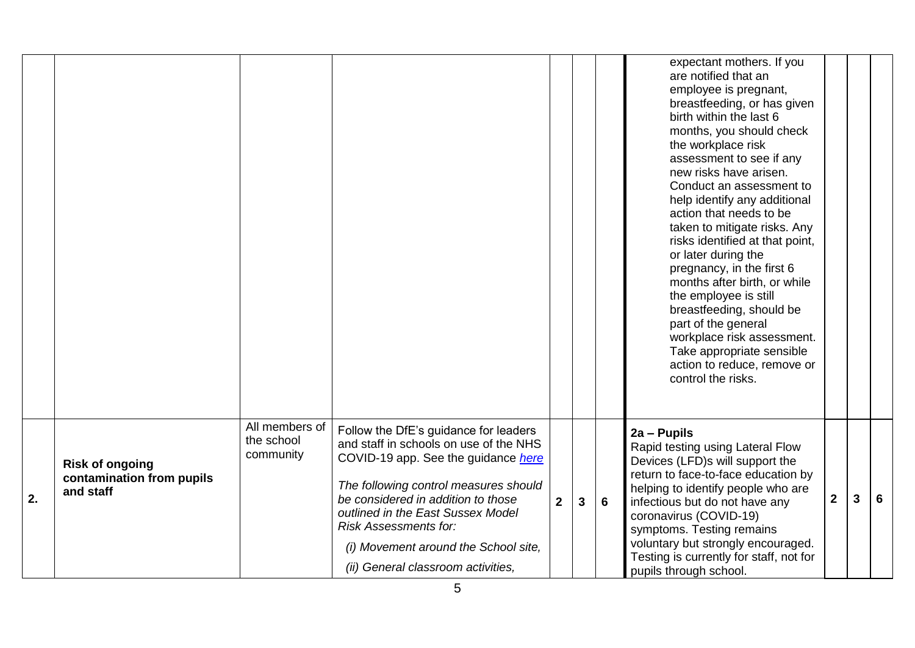|    |                                                                  |                                           |                                                                                                                                                                                                                                                                                                                                                          |                |   |                | expectant mothers. If you<br>are notified that an<br>employee is pregnant,<br>breastfeeding, or has given<br>birth within the last 6<br>months, you should check<br>the workplace risk<br>assessment to see if any<br>new risks have arisen.<br>Conduct an assessment to<br>help identify any additional<br>action that needs to be<br>taken to mitigate risks. Any<br>risks identified at that point,<br>or later during the<br>pregnancy, in the first 6<br>months after birth, or while<br>the employee is still<br>breastfeeding, should be<br>part of the general<br>workplace risk assessment.<br>Take appropriate sensible<br>action to reduce, remove or<br>control the risks. |   |   |   |
|----|------------------------------------------------------------------|-------------------------------------------|----------------------------------------------------------------------------------------------------------------------------------------------------------------------------------------------------------------------------------------------------------------------------------------------------------------------------------------------------------|----------------|---|----------------|----------------------------------------------------------------------------------------------------------------------------------------------------------------------------------------------------------------------------------------------------------------------------------------------------------------------------------------------------------------------------------------------------------------------------------------------------------------------------------------------------------------------------------------------------------------------------------------------------------------------------------------------------------------------------------------|---|---|---|
| 2. | <b>Risk of ongoing</b><br>contamination from pupils<br>and staff | All members of<br>the school<br>community | Follow the DfE's guidance for leaders<br>and staff in schools on use of the NHS<br>COVID-19 app. See the guidance here<br>The following control measures should<br>be considered in addition to those<br>outlined in the East Sussex Model<br><b>Risk Assessments for:</b><br>(i) Movement around the School site,<br>(ii) General classroom activities, | $\overline{2}$ | 3 | $6\phantom{1}$ | $2a - P$ upils<br>Rapid testing using Lateral Flow<br>Devices (LFD)s will support the<br>return to face-to-face education by<br>helping to identify people who are<br>infectious but do not have any<br>coronavirus (COVID-19)<br>symptoms. Testing remains<br>voluntary but strongly encouraged.<br>Testing is currently for staff, not for<br>pupils through school.                                                                                                                                                                                                                                                                                                                 | 2 | 3 | 6 |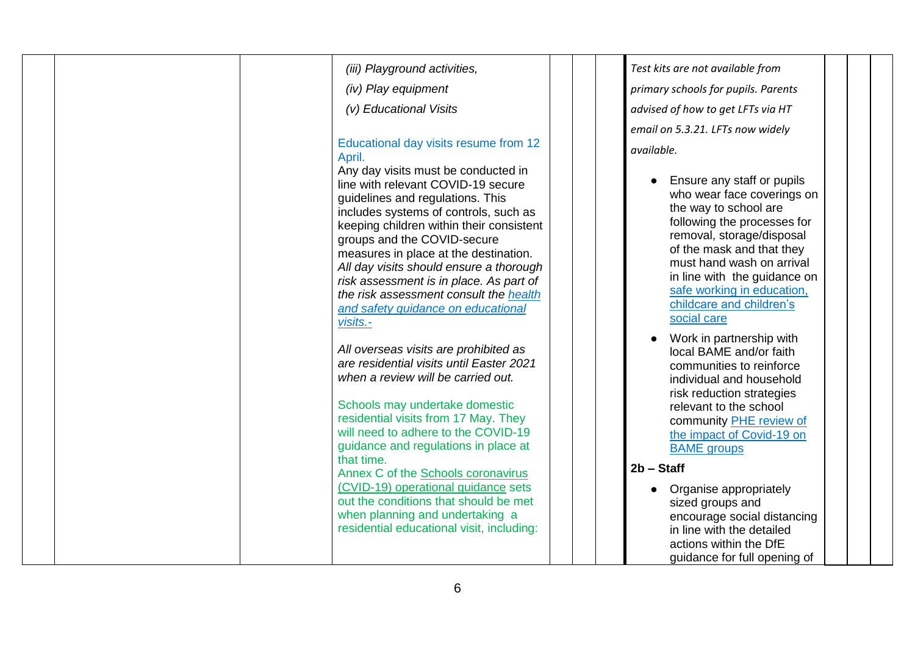| (iii) Playground activities,                                                                                                                                                                                                                                                                                                                                                                                                                                                                                    | Test kits are not available from                                                                                                                                                                                                                                                                                               |
|-----------------------------------------------------------------------------------------------------------------------------------------------------------------------------------------------------------------------------------------------------------------------------------------------------------------------------------------------------------------------------------------------------------------------------------------------------------------------------------------------------------------|--------------------------------------------------------------------------------------------------------------------------------------------------------------------------------------------------------------------------------------------------------------------------------------------------------------------------------|
| (iv) Play equipment                                                                                                                                                                                                                                                                                                                                                                                                                                                                                             | primary schools for pupils. Parents                                                                                                                                                                                                                                                                                            |
| (v) Educational Visits                                                                                                                                                                                                                                                                                                                                                                                                                                                                                          | advised of how to get LFTs via HT                                                                                                                                                                                                                                                                                              |
|                                                                                                                                                                                                                                                                                                                                                                                                                                                                                                                 | email on 5.3.21. LFTs now widely                                                                                                                                                                                                                                                                                               |
| Educational day visits resume from 12<br>April.<br>Any day visits must be conducted in<br>line with relevant COVID-19 secure<br>guidelines and regulations. This<br>includes systems of controls, such as<br>keeping children within their consistent<br>groups and the COVID-secure<br>measures in place at the destination.<br>All day visits should ensure a thorough<br>risk assessment is in place. As part of<br>the risk assessment consult the health<br>and safety quidance on educational<br>visits.- | available.<br>Ensure any staff or pupils<br>who wear face coverings on<br>the way to school are<br>following the processes for<br>removal, storage/disposal<br>of the mask and that they<br>must hand wash on arrival<br>in line with the guidance on<br>safe working in education,<br>childcare and children's<br>social care |
| All overseas visits are prohibited as<br>are residential visits until Easter 2021<br>when a review will be carried out.<br>Schools may undertake domestic<br>residential visits from 17 May. They<br>will need to adhere to the COVID-19<br>guidance and regulations in place at<br>that time.                                                                                                                                                                                                                  | Work in partnership with<br>local BAME and/or faith<br>communities to reinforce<br>individual and household<br>risk reduction strategies<br>relevant to the school<br>community PHE review of<br>the impact of Covid-19 on<br><b>BAME</b> groups<br>$2b - Start$                                                               |
| Annex C of the Schools coronavirus<br>(CVID-19) operational guidance sets<br>out the conditions that should be met<br>when planning and undertaking a<br>residential educational visit, including:                                                                                                                                                                                                                                                                                                              | Organise appropriately<br>sized groups and<br>encourage social distancing<br>in line with the detailed<br>actions within the DfE<br>guidance for full opening of                                                                                                                                                               |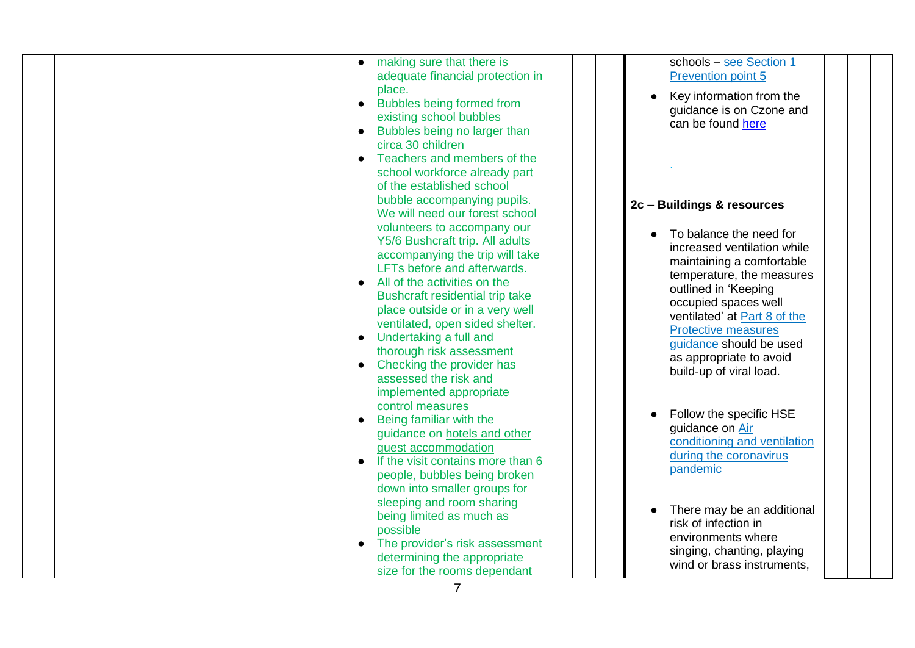| making sure that there is<br>adequate financial protection in<br>place.<br><b>Bubbles being formed from</b><br>$\bullet$<br>existing school bubbles<br>Bubbles being no larger than<br>circa 30 children                                                                                                                                                                                                         | schools - see Section 1<br><b>Prevention point 5</b><br>Key information from the<br>guidance is on Czone and<br>can be found here                                                                                                                                                                               |
|------------------------------------------------------------------------------------------------------------------------------------------------------------------------------------------------------------------------------------------------------------------------------------------------------------------------------------------------------------------------------------------------------------------|-----------------------------------------------------------------------------------------------------------------------------------------------------------------------------------------------------------------------------------------------------------------------------------------------------------------|
| Teachers and members of the<br>school workforce already part<br>of the established school<br>bubble accompanying pupils.<br>We will need our forest school                                                                                                                                                                                                                                                       | 2c - Buildings & resources                                                                                                                                                                                                                                                                                      |
| volunteers to accompany our<br>Y5/6 Bushcraft trip. All adults<br>accompanying the trip will take<br>LFTs before and afterwards.<br>All of the activities on the<br>Bushcraft residential trip take<br>place outside or in a very well<br>ventilated, open sided shelter.<br>Undertaking a full and<br>thorough risk assessment<br>Checking the provider has<br>assessed the risk and<br>implemented appropriate | To balance the need for<br>increased ventilation while<br>maintaining a comfortable<br>temperature, the measures<br>outlined in 'Keeping<br>occupied spaces well<br>ventilated' at Part 8 of the<br><b>Protective measures</b><br>guidance should be used<br>as appropriate to avoid<br>build-up of viral load. |
| control measures<br>Being familiar with the<br>guidance on hotels and other<br>guest accommodation<br>If the visit contains more than 6<br>people, bubbles being broken<br>down into smaller groups for                                                                                                                                                                                                          | Follow the specific HSE<br>guidance on Air<br>conditioning and ventilation<br>during the coronavirus<br>pandemic                                                                                                                                                                                                |
| sleeping and room sharing<br>being limited as much as<br>possible<br>The provider's risk assessment<br>determining the appropriate<br>size for the rooms dependant                                                                                                                                                                                                                                               | There may be an additional<br>risk of infection in<br>environments where<br>singing, chanting, playing<br>wind or brass instruments.                                                                                                                                                                            |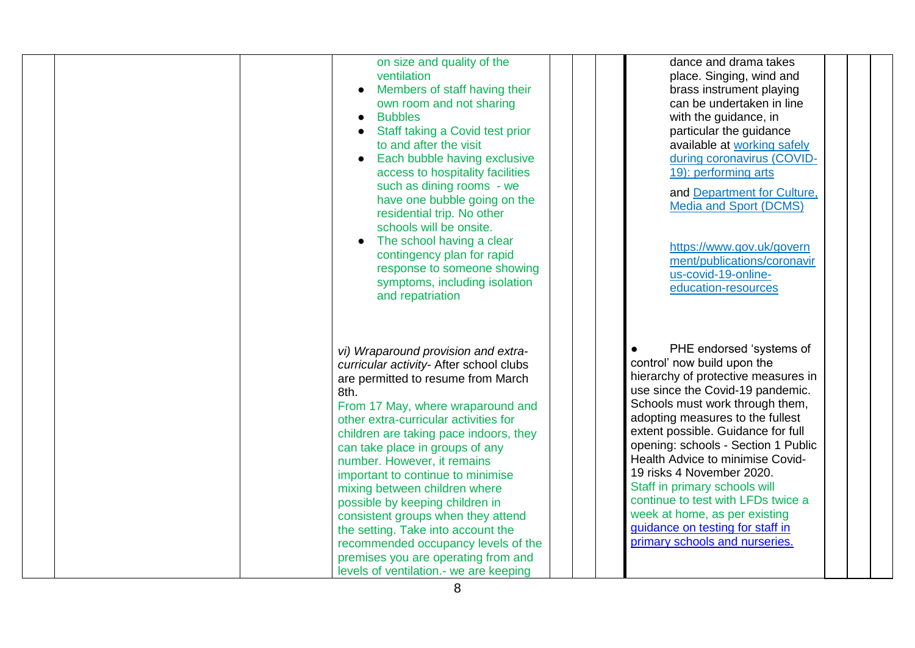| on size and quality of the<br>ventilation<br>Members of staff having their<br>$\bullet$<br>own room and not sharing<br><b>Bubbles</b><br>Staff taking a Covid test prior<br>to and after the visit<br>Each bubble having exclusive<br>access to hospitality facilities<br>such as dining rooms - we<br>have one bubble going on the<br>residential trip. No other<br>schools will be onsite.<br>The school having a clear<br>contingency plan for rapid<br>response to someone showing<br>symptoms, including isolation<br>and repatriation                                                                                         | dance and drama takes<br>place. Singing, wind and<br>brass instrument playing<br>can be undertaken in line<br>with the guidance, in<br>particular the guidance<br>available at working safely<br>during coronavirus (COVID-<br>19): performing arts<br>and Department for Culture.<br><b>Media and Sport (DCMS)</b><br>https://www.gov.uk/govern<br>ment/publications/coronavir<br>us-covid-19-online-<br>education-resources                                                                                                         |
|-------------------------------------------------------------------------------------------------------------------------------------------------------------------------------------------------------------------------------------------------------------------------------------------------------------------------------------------------------------------------------------------------------------------------------------------------------------------------------------------------------------------------------------------------------------------------------------------------------------------------------------|---------------------------------------------------------------------------------------------------------------------------------------------------------------------------------------------------------------------------------------------------------------------------------------------------------------------------------------------------------------------------------------------------------------------------------------------------------------------------------------------------------------------------------------|
| vi) Wraparound provision and extra-<br>curricular activity- After school clubs<br>are permitted to resume from March<br>8th.<br>From 17 May, where wraparound and<br>other extra-curricular activities for<br>children are taking pace indoors, they<br>can take place in groups of any<br>number. However, it remains<br>important to continue to minimise<br>mixing between children where<br>possible by keeping children in<br>consistent groups when they attend<br>the setting. Take into account the<br>recommended occupancy levels of the<br>premises you are operating from and<br>levels of ventilation.- we are keeping | PHE endorsed 'systems of<br>control' now build upon the<br>hierarchy of protective measures in<br>use since the Covid-19 pandemic.<br>Schools must work through them,<br>adopting measures to the fullest<br>extent possible. Guidance for full<br>opening: schools - Section 1 Public<br>Health Advice to minimise Covid-<br>19 risks 4 November 2020.<br>Staff in primary schools will<br>continue to test with LFDs twice a<br>week at home, as per existing<br>guidance on testing for staff in<br>primary schools and nurseries. |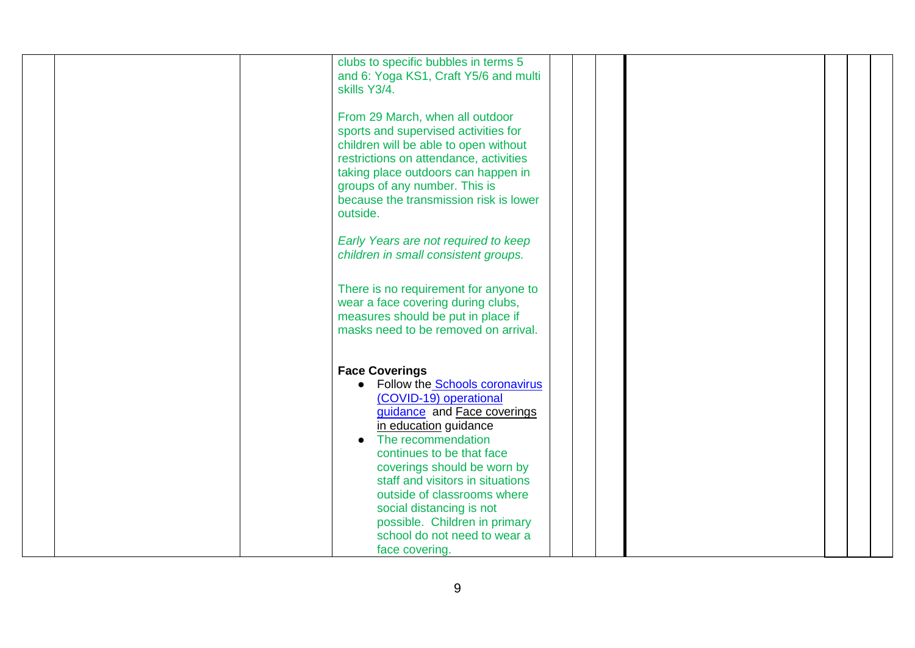| clubs to specific bubbles in terms 5<br>and 6: Yoga KS1, Craft Y5/6 and multi<br>skills Y3/4.<br>From 29 March, when all outdoor<br>sports and supervised activities for                                                                                                                                                                                                                                                   |  |
|----------------------------------------------------------------------------------------------------------------------------------------------------------------------------------------------------------------------------------------------------------------------------------------------------------------------------------------------------------------------------------------------------------------------------|--|
| children will be able to open without<br>restrictions on attendance, activities<br>taking place outdoors can happen in<br>groups of any number. This is<br>because the transmission risk is lower<br>outside.                                                                                                                                                                                                              |  |
| Early Years are not required to keep<br>children in small consistent groups.                                                                                                                                                                                                                                                                                                                                               |  |
| There is no requirement for anyone to<br>wear a face covering during clubs,<br>measures should be put in place if<br>masks need to be removed on arrival.                                                                                                                                                                                                                                                                  |  |
| <b>Face Coverings</b><br>Follow the Schools coronavirus<br>$\bullet$<br>(COVID-19) operational<br>guidance and Face coverings<br>in education guidance<br>The recommendation<br>continues to be that face<br>coverings should be worn by<br>staff and visitors in situations<br>outside of classrooms where<br>social distancing is not<br>possible. Children in primary<br>school do not need to wear a<br>face covering. |  |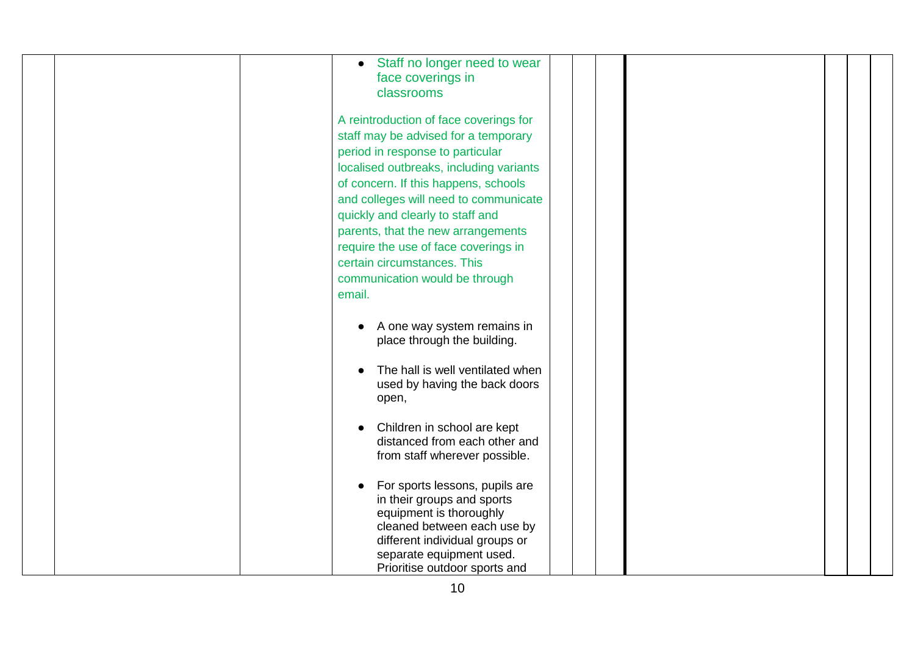| Staff no longer need to wear<br>$\bullet$<br>face coverings in<br>classrooms                                                                                                                                                                                                                                                                                                                                                                                       |
|--------------------------------------------------------------------------------------------------------------------------------------------------------------------------------------------------------------------------------------------------------------------------------------------------------------------------------------------------------------------------------------------------------------------------------------------------------------------|
| A reintroduction of face coverings for<br>staff may be advised for a temporary<br>period in response to particular<br>localised outbreaks, including variants<br>of concern. If this happens, schools<br>and colleges will need to communicate<br>quickly and clearly to staff and<br>parents, that the new arrangements<br>require the use of face coverings in<br>certain circumstances. This<br>communication would be through<br>email.                        |
| A one way system remains in<br>place through the building.<br>The hall is well ventilated when<br>used by having the back doors<br>open,<br>Children in school are kept<br>distanced from each other and<br>from staff wherever possible.<br>For sports lessons, pupils are<br>in their groups and sports<br>equipment is thoroughly<br>cleaned between each use by<br>different individual groups or<br>separate equipment used.<br>Prioritise outdoor sports and |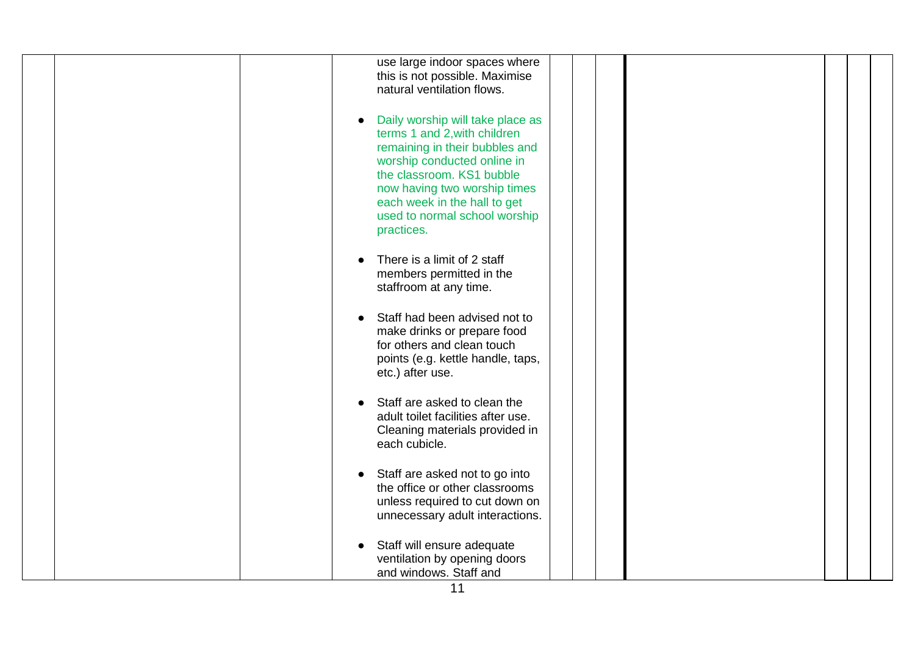| use large indoor spaces where<br>this is not possible. Maximise<br>natural ventilation flows.                                                                                                                                                                                              |  |
|--------------------------------------------------------------------------------------------------------------------------------------------------------------------------------------------------------------------------------------------------------------------------------------------|--|
| Daily worship will take place as<br>$\bullet$<br>terms 1 and 2, with children<br>remaining in their bubbles and<br>worship conducted online in<br>the classroom. KS1 bubble<br>now having two worship times<br>each week in the hall to get<br>used to normal school worship<br>practices. |  |
| There is a limit of 2 staff<br>members permitted in the<br>staffroom at any time.                                                                                                                                                                                                          |  |
| Staff had been advised not to<br>make drinks or prepare food<br>for others and clean touch<br>points (e.g. kettle handle, taps,<br>etc.) after use.                                                                                                                                        |  |
| Staff are asked to clean the<br>adult toilet facilities after use.<br>Cleaning materials provided in<br>each cubicle.                                                                                                                                                                      |  |
| Staff are asked not to go into<br>$\bullet$<br>the office or other classrooms<br>unless required to cut down on<br>unnecessary adult interactions.                                                                                                                                         |  |
| Staff will ensure adequate<br>ventilation by opening doors<br>and windows. Staff and                                                                                                                                                                                                       |  |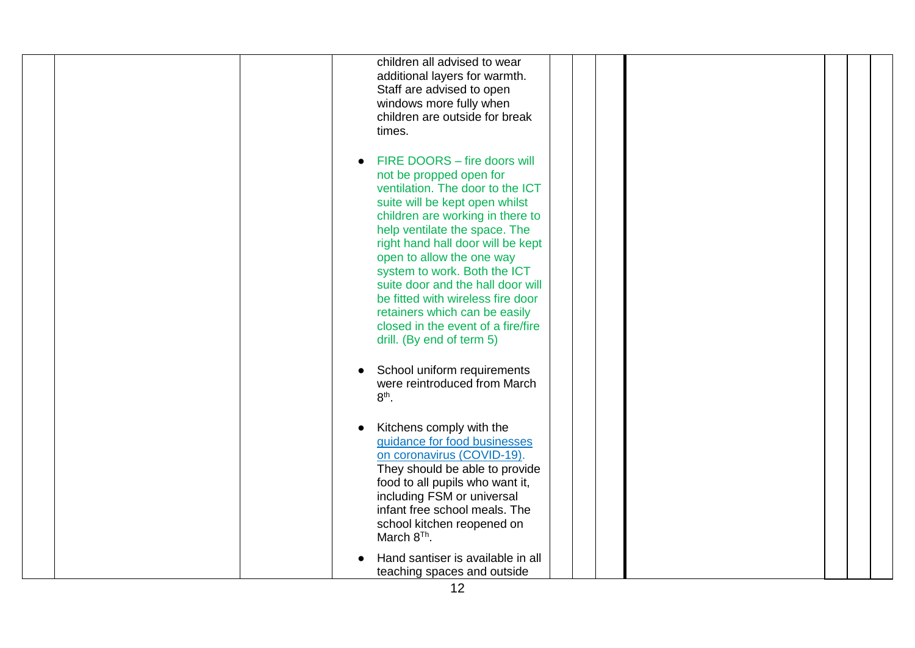| children all advised to wear<br>additional layers for warmth.<br>Staff are advised to open<br>windows more fully when<br>children are outside for break<br>times.                                                                                                                                                                                                                                                                                                                                                                                 |
|---------------------------------------------------------------------------------------------------------------------------------------------------------------------------------------------------------------------------------------------------------------------------------------------------------------------------------------------------------------------------------------------------------------------------------------------------------------------------------------------------------------------------------------------------|
| FIRE DOORS - fire doors will<br>not be propped open for<br>ventilation. The door to the ICT<br>suite will be kept open whilst<br>children are working in there to<br>help ventilate the space. The<br>right hand hall door will be kept<br>open to allow the one way<br>system to work. Both the ICT<br>suite door and the hall door will<br>be fitted with wireless fire door<br>retainers which can be easily<br>closed in the event of a fire/fire<br>drill. (By end of term 5)<br>School uniform requirements<br>were reintroduced from March |
| $8th$ .                                                                                                                                                                                                                                                                                                                                                                                                                                                                                                                                           |
| Kitchens comply with the<br>guidance for food businesses<br>on coronavirus (COVID-19).<br>They should be able to provide<br>food to all pupils who want it,<br>including FSM or universal<br>infant free school meals. The<br>school kitchen reopened on<br>March 8 <sup>Th</sup> .                                                                                                                                                                                                                                                               |
| Hand santiser is available in all<br>teaching spaces and outside                                                                                                                                                                                                                                                                                                                                                                                                                                                                                  |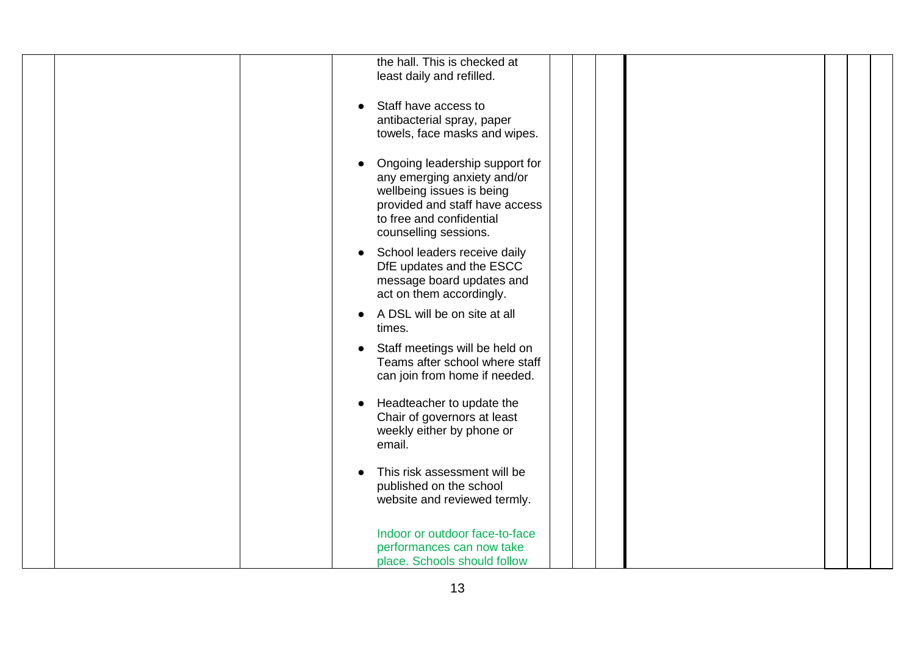| the hall. This is checked at<br>least daily and refilled.                                                                                                                         |
|-----------------------------------------------------------------------------------------------------------------------------------------------------------------------------------|
| Staff have access to<br>antibacterial spray, paper<br>towels, face masks and wipes.                                                                                               |
| Ongoing leadership support for<br>any emerging anxiety and/or<br>wellbeing issues is being<br>provided and staff have access<br>to free and confidential<br>counselling sessions. |
| School leaders receive daily<br>DfE updates and the ESCC<br>message board updates and<br>act on them accordingly.                                                                 |
| A DSL will be on site at all<br>times.                                                                                                                                            |
| Staff meetings will be held on<br>$\bullet$<br>Teams after school where staff<br>can join from home if needed.                                                                    |
| Headteacher to update the<br>Chair of governors at least<br>weekly either by phone or<br>email.                                                                                   |
| This risk assessment will be<br>published on the school<br>website and reviewed termly.                                                                                           |
| Indoor or outdoor face-to-face<br>performances can now take<br>place. Schools should follow                                                                                       |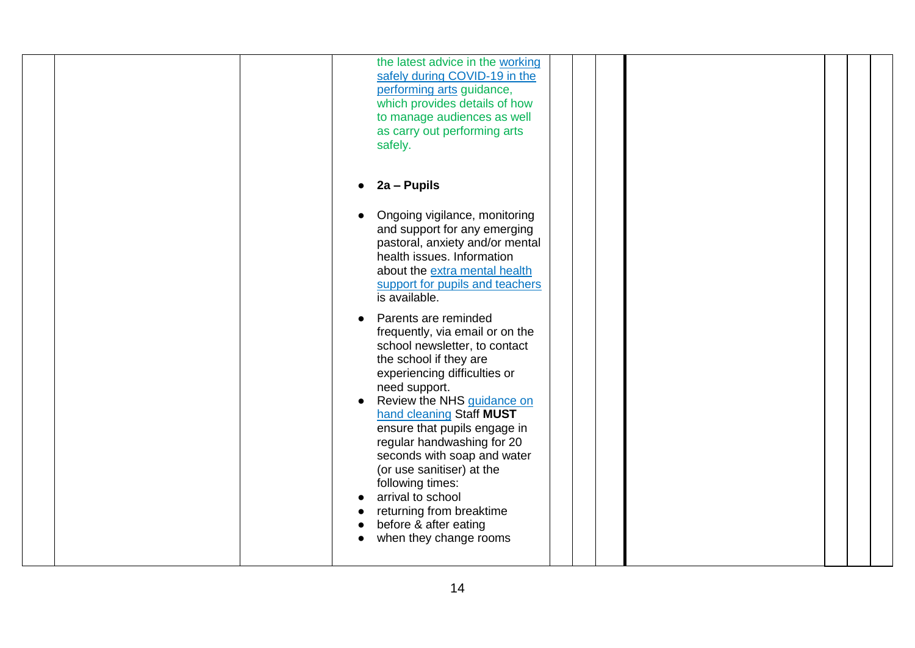| the latest advice in the working<br>safely during COVID-19 in the<br>performing arts guidance,<br>which provides details of how<br>to manage audiences as well<br>as carry out performing arts<br>safely.                                                                                                                                                                                                                                                                                                                                                                                                                                                                                                                          |
|------------------------------------------------------------------------------------------------------------------------------------------------------------------------------------------------------------------------------------------------------------------------------------------------------------------------------------------------------------------------------------------------------------------------------------------------------------------------------------------------------------------------------------------------------------------------------------------------------------------------------------------------------------------------------------------------------------------------------------|
| 2a - Pupils<br>Ongoing vigilance, monitoring<br>and support for any emerging<br>pastoral, anxiety and/or mental<br>health issues. Information<br>about the extra mental health<br>support for pupils and teachers<br>is available.<br>Parents are reminded<br>frequently, via email or on the<br>school newsletter, to contact<br>the school if they are<br>experiencing difficulties or<br>need support.<br>Review the NHS guidance on<br>$\bullet$<br>hand cleaning Staff MUST<br>ensure that pupils engage in<br>regular handwashing for 20<br>seconds with soap and water<br>(or use sanitiser) at the<br>following times:<br>arrival to school<br>returning from breaktime<br>before & after eating<br>when they change rooms |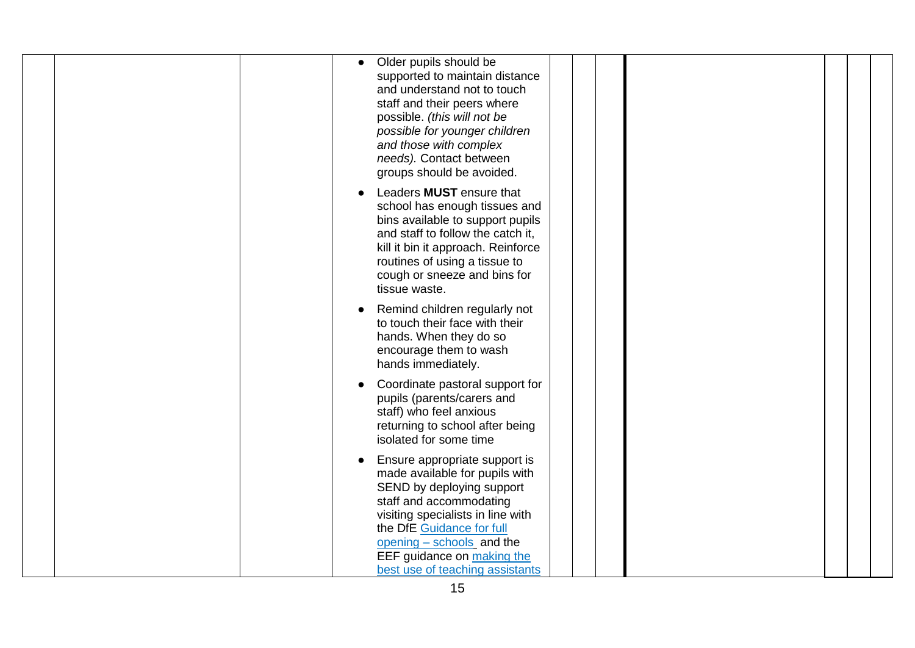| Older pupils should be<br>$\bullet$<br>supported to maintain distance<br>and understand not to touch<br>staff and their peers where<br>possible. (this will not be<br>possible for younger children<br>and those with complex<br>needs). Contact between<br>groups should be avoided.   |
|-----------------------------------------------------------------------------------------------------------------------------------------------------------------------------------------------------------------------------------------------------------------------------------------|
| Leaders <b>MUST</b> ensure that<br>school has enough tissues and<br>bins available to support pupils<br>and staff to follow the catch it,<br>kill it bin it approach. Reinforce<br>routines of using a tissue to<br>cough or sneeze and bins for<br>tissue waste.                       |
| Remind children regularly not<br>to touch their face with their<br>hands. When they do so<br>encourage them to wash<br>hands immediately.                                                                                                                                               |
| Coordinate pastoral support for<br>pupils (parents/carers and<br>staff) who feel anxious<br>returning to school after being<br>isolated for some time                                                                                                                                   |
| Ensure appropriate support is<br>made available for pupils with<br>SEND by deploying support<br>staff and accommodating<br>visiting specialists in line with<br>the DfE Guidance for full<br>opening - schools and the<br>EEF guidance on making the<br>best use of teaching assistants |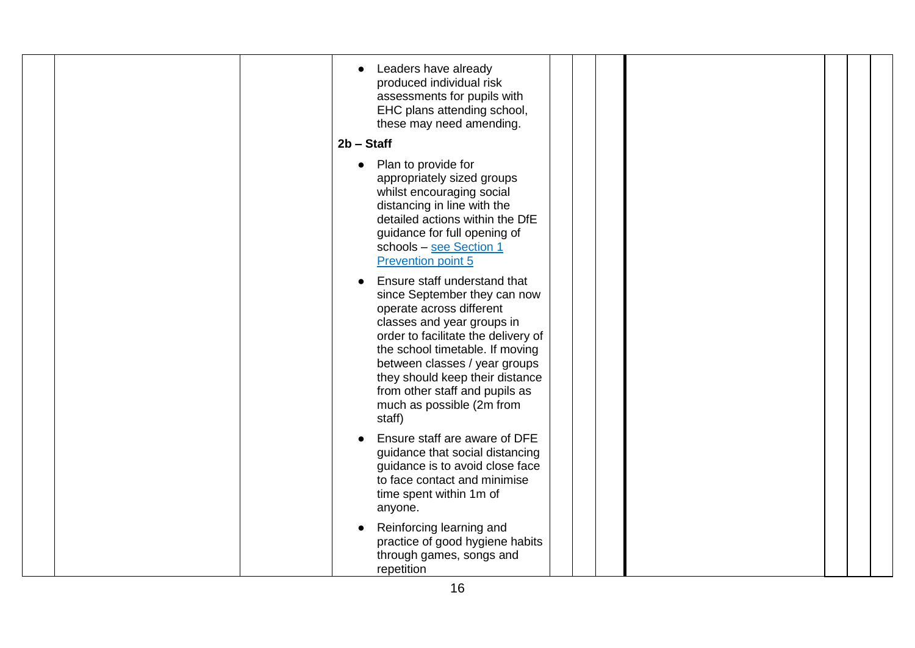|  | Leaders have already<br>produced individual risk<br>assessments for pupils with<br>EHC plans attending school,<br>these may need amending.<br>$2b - Staff$                                                                                                                                                                                    |
|--|-----------------------------------------------------------------------------------------------------------------------------------------------------------------------------------------------------------------------------------------------------------------------------------------------------------------------------------------------|
|  | Plan to provide for<br>$\bullet$<br>appropriately sized groups<br>whilst encouraging social<br>distancing in line with the<br>detailed actions within the DfE<br>guidance for full opening of<br>schools - see Section 1<br><b>Prevention point 5</b>                                                                                         |
|  | Ensure staff understand that<br>since September they can now<br>operate across different<br>classes and year groups in<br>order to facilitate the delivery of<br>the school timetable. If moving<br>between classes / year groups<br>they should keep their distance<br>from other staff and pupils as<br>much as possible (2m from<br>staff) |
|  | Ensure staff are aware of DFE<br>guidance that social distancing<br>guidance is to avoid close face<br>to face contact and minimise<br>time spent within 1m of<br>anyone.                                                                                                                                                                     |
|  | Reinforcing learning and<br>practice of good hygiene habits<br>through games, songs and<br>repetition                                                                                                                                                                                                                                         |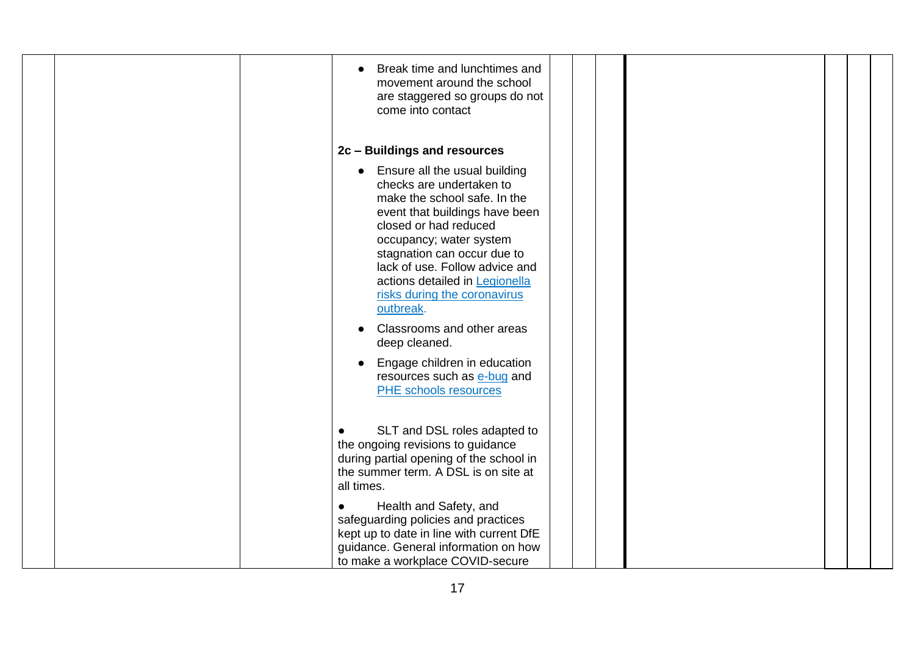|  | Break time and lunchtimes and<br>movement around the school<br>are staggered so groups do not<br>come into contact                                                                                                                                                                                                                                            |
|--|---------------------------------------------------------------------------------------------------------------------------------------------------------------------------------------------------------------------------------------------------------------------------------------------------------------------------------------------------------------|
|  | 2c - Buildings and resources                                                                                                                                                                                                                                                                                                                                  |
|  | Ensure all the usual building<br>checks are undertaken to<br>make the school safe. In the<br>event that buildings have been<br>closed or had reduced<br>occupancy; water system<br>stagnation can occur due to<br>lack of use. Follow advice and<br>actions detailed in Legionella<br>risks during the coronavirus<br>outbreak.<br>Classrooms and other areas |
|  | deep cleaned.<br>Engage children in education<br>resources such as e-bug and<br><b>PHE</b> schools resources                                                                                                                                                                                                                                                  |
|  | SLT and DSL roles adapted to<br>$\bullet$<br>the ongoing revisions to guidance<br>during partial opening of the school in<br>the summer term. A DSL is on site at<br>all times.                                                                                                                                                                               |
|  | Health and Safety, and<br>$\bullet$<br>safeguarding policies and practices<br>kept up to date in line with current DfE<br>guidance. General information on how<br>to make a workplace COVID-secure                                                                                                                                                            |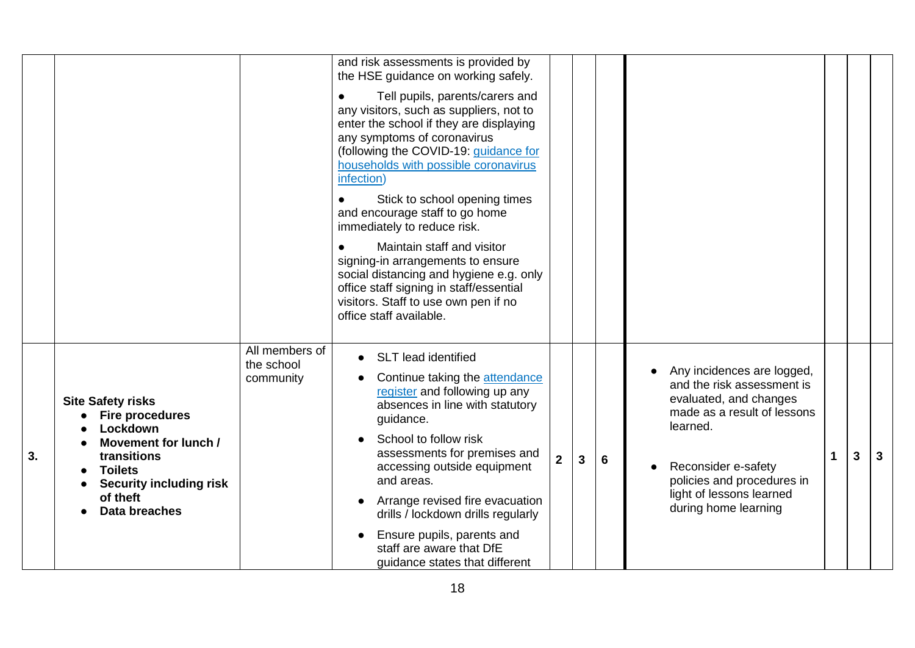|    |                                                                                                                                                                                        |                                           | and risk assessments is provided by<br>the HSE guidance on working safely.                                                                                                                                                                                                                                                                |                |   |   |                                                                                                                                                                                                                                        |    |   |              |
|----|----------------------------------------------------------------------------------------------------------------------------------------------------------------------------------------|-------------------------------------------|-------------------------------------------------------------------------------------------------------------------------------------------------------------------------------------------------------------------------------------------------------------------------------------------------------------------------------------------|----------------|---|---|----------------------------------------------------------------------------------------------------------------------------------------------------------------------------------------------------------------------------------------|----|---|--------------|
|    |                                                                                                                                                                                        |                                           | Tell pupils, parents/carers and<br>$\bullet$<br>any visitors, such as suppliers, not to<br>enter the school if they are displaying<br>any symptoms of coronavirus<br>(following the COVID-19: guidance for<br>households with possible coronavirus<br>infection)                                                                          |                |   |   |                                                                                                                                                                                                                                        |    |   |              |
|    |                                                                                                                                                                                        |                                           | Stick to school opening times<br>$\bullet$<br>and encourage staff to go home<br>immediately to reduce risk.                                                                                                                                                                                                                               |                |   |   |                                                                                                                                                                                                                                        |    |   |              |
|    |                                                                                                                                                                                        |                                           | Maintain staff and visitor<br>$\bullet$<br>signing-in arrangements to ensure<br>social distancing and hygiene e.g. only<br>office staff signing in staff/essential<br>visitors. Staff to use own pen if no<br>office staff available.                                                                                                     |                |   |   |                                                                                                                                                                                                                                        |    |   |              |
| 3. | <b>Site Safety risks</b><br><b>Fire procedures</b><br>Lockdown<br>Movement for lunch /<br>transitions<br><b>Toilets</b><br><b>Security including risk</b><br>of theft<br>Data breaches | All members of<br>the school<br>community | <b>SLT</b> lead identified<br>$\bullet$<br>Continue taking the attendance<br>register and following up any<br>absences in line with statutory<br>guidance.<br>School to follow risk<br>assessments for premises and<br>accessing outside equipment<br>and areas.<br>Arrange revised fire evacuation<br>drills / lockdown drills regularly | $\overline{2}$ | 3 | 6 | Any incidences are logged,<br>and the risk assessment is<br>evaluated, and changes<br>made as a result of lessons<br>learned.<br>Reconsider e-safety<br>policies and procedures in<br>light of lessons learned<br>during home learning | -1 | 3 | $\mathbf{3}$ |
|    |                                                                                                                                                                                        |                                           | Ensure pupils, parents and<br>staff are aware that DfE<br>guidance states that different                                                                                                                                                                                                                                                  |                |   |   |                                                                                                                                                                                                                                        |    |   |              |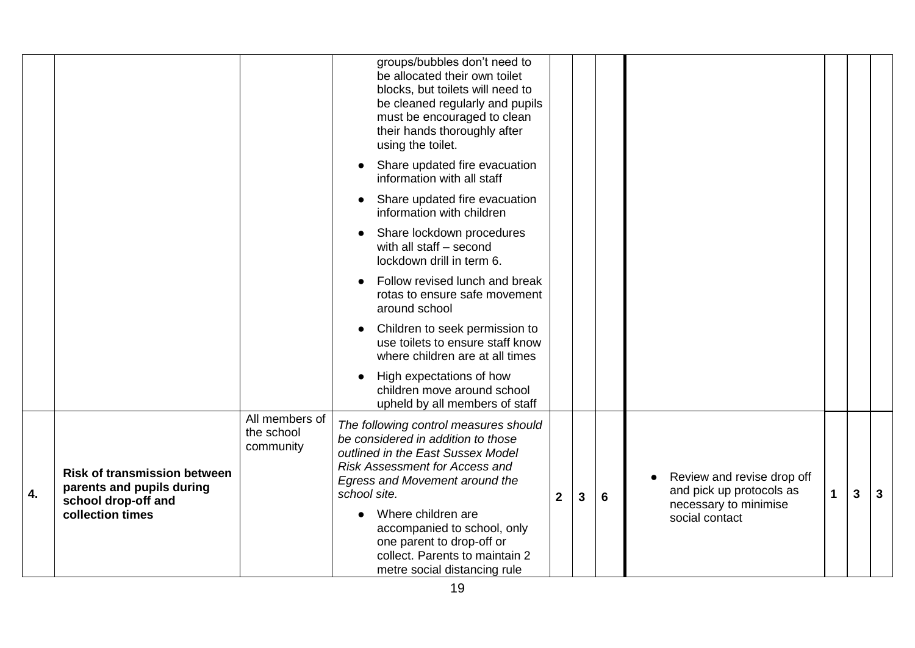|    |                                                                                         |                                           | groups/bubbles don't need to<br>be allocated their own toilet<br>blocks, but toilets will need to<br>be cleaned regularly and pupils<br>must be encouraged to clean<br>their hands thoroughly after<br>using the toilet. |              |   |   |                                                                                 |   |   |   |
|----|-----------------------------------------------------------------------------------------|-------------------------------------------|--------------------------------------------------------------------------------------------------------------------------------------------------------------------------------------------------------------------------|--------------|---|---|---------------------------------------------------------------------------------|---|---|---|
|    |                                                                                         |                                           | Share updated fire evacuation<br>information with all staff                                                                                                                                                              |              |   |   |                                                                                 |   |   |   |
|    |                                                                                         |                                           | Share updated fire evacuation<br>information with children                                                                                                                                                               |              |   |   |                                                                                 |   |   |   |
|    |                                                                                         |                                           | Share lockdown procedures<br>with all staff - second<br>lockdown drill in term 6.                                                                                                                                        |              |   |   |                                                                                 |   |   |   |
|    |                                                                                         |                                           | Follow revised lunch and break<br>rotas to ensure safe movement<br>around school                                                                                                                                         |              |   |   |                                                                                 |   |   |   |
|    |                                                                                         |                                           | Children to seek permission to<br>use toilets to ensure staff know<br>where children are at all times                                                                                                                    |              |   |   |                                                                                 |   |   |   |
|    |                                                                                         |                                           | High expectations of how<br>children move around school<br>upheld by all members of staff                                                                                                                                |              |   |   |                                                                                 |   |   |   |
| 4. | <b>Risk of transmission between</b><br>parents and pupils during<br>school drop-off and | All members of<br>the school<br>community | The following control measures should<br>be considered in addition to those<br>outlined in the East Sussex Model<br><b>Risk Assessment for Access and</b><br>Egress and Movement around the<br>school site.              | $\mathbf{2}$ | 3 | 6 | Review and revise drop off<br>and pick up protocols as<br>necessary to minimise | 1 | 3 | 3 |
|    | collection times                                                                        |                                           | Where children are<br>accompanied to school, only<br>one parent to drop-off or<br>collect. Parents to maintain 2<br>metre social distancing rule                                                                         |              |   |   | social contact                                                                  |   |   |   |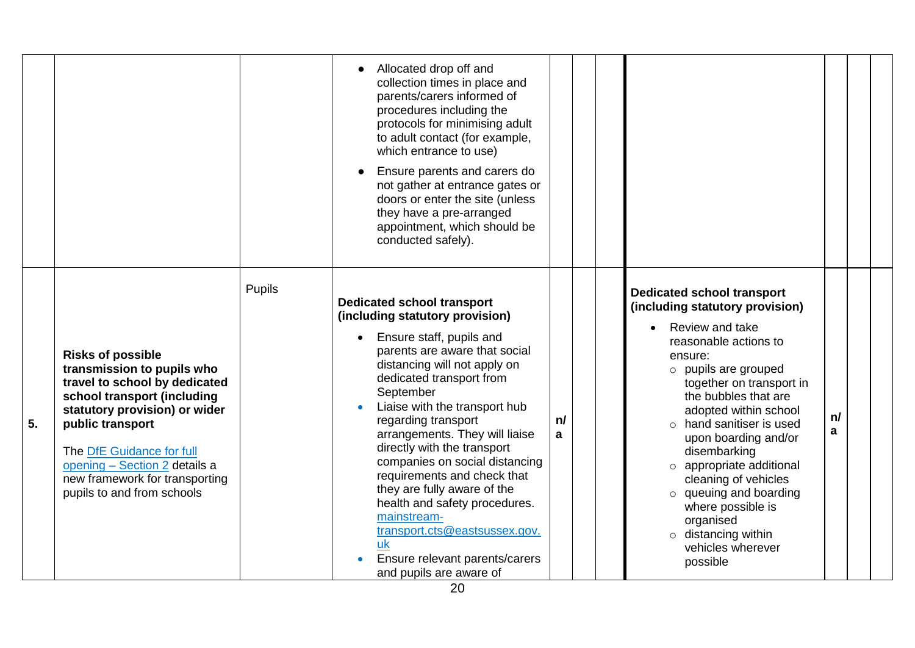|    |                                                                                                                                                                                                                                                                                                           |        | Allocated drop off and<br>collection times in place and<br>parents/carers informed of<br>procedures including the<br>protocols for minimising adult<br>to adult contact (for example,<br>which entrance to use)<br>Ensure parents and carers do<br>not gather at entrance gates or<br>doors or enter the site (unless<br>they have a pre-arranged<br>appointment, which should be<br>conducted safely).                                                                                                                                                                                 |         |                                                                                                                                                                                                                                                                                                                                                                                                                                                                                                      |         |  |
|----|-----------------------------------------------------------------------------------------------------------------------------------------------------------------------------------------------------------------------------------------------------------------------------------------------------------|--------|-----------------------------------------------------------------------------------------------------------------------------------------------------------------------------------------------------------------------------------------------------------------------------------------------------------------------------------------------------------------------------------------------------------------------------------------------------------------------------------------------------------------------------------------------------------------------------------------|---------|------------------------------------------------------------------------------------------------------------------------------------------------------------------------------------------------------------------------------------------------------------------------------------------------------------------------------------------------------------------------------------------------------------------------------------------------------------------------------------------------------|---------|--|
| 5. | <b>Risks of possible</b><br>transmission to pupils who<br>travel to school by dedicated<br>school transport (including<br>statutory provision) or wider<br>public transport<br>The DfE Guidance for full<br>opening - Section 2 details a<br>new framework for transporting<br>pupils to and from schools | Pupils | <b>Dedicated school transport</b><br>(including statutory provision)<br>Ensure staff, pupils and<br>parents are aware that social<br>distancing will not apply on<br>dedicated transport from<br>September<br>Liaise with the transport hub<br>regarding transport<br>arrangements. They will liaise<br>directly with the transport<br>companies on social distancing<br>requirements and check that<br>they are fully aware of the<br>health and safety procedures.<br>mainstream-<br>transport.cts@eastsussex.gov.<br>uk<br>Ensure relevant parents/carers<br>and pupils are aware of | n/<br>a | <b>Dedicated school transport</b><br>(including statutory provision)<br>Review and take<br>reasonable actions to<br>ensure:<br>$\circ$ pupils are grouped<br>together on transport in<br>the bubbles that are<br>adopted within school<br>$\circ$ hand sanitiser is used<br>upon boarding and/or<br>disembarking<br>o appropriate additional<br>cleaning of vehicles<br>$\circ$ queuing and boarding<br>where possible is<br>organised<br>$\circ$ distancing within<br>vehicles wherever<br>possible | n/<br>a |  |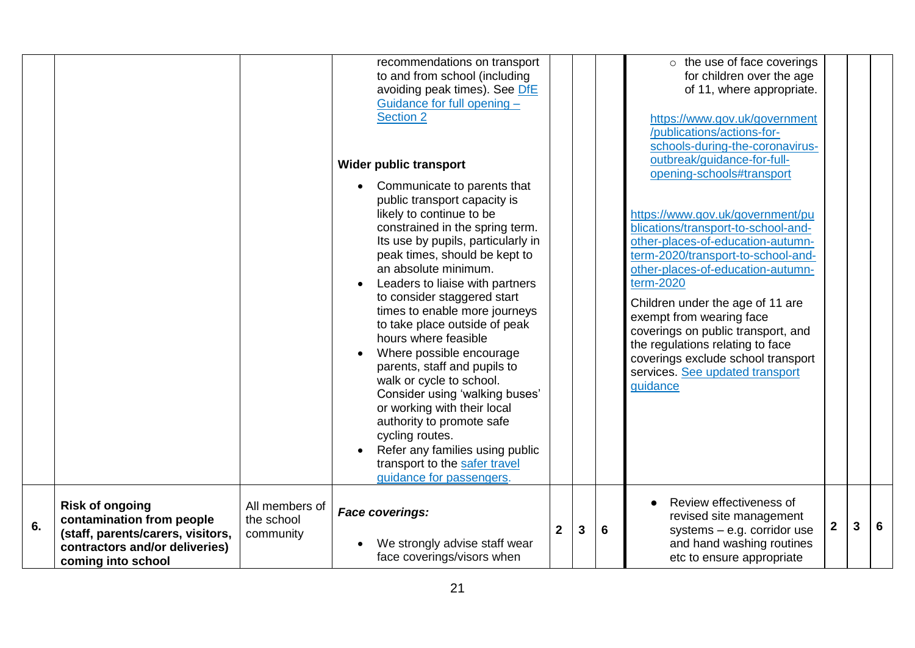|    |                                                                                                                                                  |                                           | recommendations on transport<br>to and from school (including<br>avoiding peak times). See DfE<br>Guidance for full opening -<br><b>Section 2</b><br><b>Wider public transport</b><br>Communicate to parents that<br>public transport capacity is<br>likely to continue to be<br>constrained in the spring term.<br>Its use by pupils, particularly in<br>peak times, should be kept to<br>an absolute minimum.<br>Leaders to liaise with partners<br>to consider staggered start<br>times to enable more journeys<br>to take place outside of peak<br>hours where feasible<br>Where possible encourage<br>parents, staff and pupils to<br>walk or cycle to school.<br>Consider using 'walking buses'<br>or working with their local<br>authority to promote safe<br>cycling routes.<br>Refer any families using public<br>transport to the safer travel<br>quidance for passengers. |                         |   |   | $\circ$ the use of face coverings<br>for children over the age<br>of 11, where appropriate.<br>https://www.gov.uk/government<br>/publications/actions-for-<br>schools-during-the-coronavirus-<br>outbreak/guidance-for-full-<br>opening-schools#transport<br>https://www.gov.uk/government/pu<br>blications/transport-to-school-and-<br>other-places-of-education-autumn-<br>term-2020/transport-to-school-and-<br>other-places-of-education-autumn-<br>term-2020<br>Children under the age of 11 are<br>exempt from wearing face<br>coverings on public transport, and<br>the regulations relating to face<br>coverings exclude school transport<br>services. See updated transport<br>guidance |             |   |   |
|----|--------------------------------------------------------------------------------------------------------------------------------------------------|-------------------------------------------|--------------------------------------------------------------------------------------------------------------------------------------------------------------------------------------------------------------------------------------------------------------------------------------------------------------------------------------------------------------------------------------------------------------------------------------------------------------------------------------------------------------------------------------------------------------------------------------------------------------------------------------------------------------------------------------------------------------------------------------------------------------------------------------------------------------------------------------------------------------------------------------|-------------------------|---|---|--------------------------------------------------------------------------------------------------------------------------------------------------------------------------------------------------------------------------------------------------------------------------------------------------------------------------------------------------------------------------------------------------------------------------------------------------------------------------------------------------------------------------------------------------------------------------------------------------------------------------------------------------------------------------------------------------|-------------|---|---|
| 6. | <b>Risk of ongoing</b><br>contamination from people<br>(staff, parents/carers, visitors,<br>contractors and/or deliveries)<br>coming into school | All members of<br>the school<br>community | <b>Face coverings:</b><br>We strongly advise staff wear<br>face coverings/visors when                                                                                                                                                                                                                                                                                                                                                                                                                                                                                                                                                                                                                                                                                                                                                                                                | $\overline{\mathbf{2}}$ | 3 | 6 | Review effectiveness of<br>revised site management<br>systems $-$ e.g. corridor use<br>and hand washing routines<br>etc to ensure appropriate                                                                                                                                                                                                                                                                                                                                                                                                                                                                                                                                                    | $\mathbf 2$ | 3 | 6 |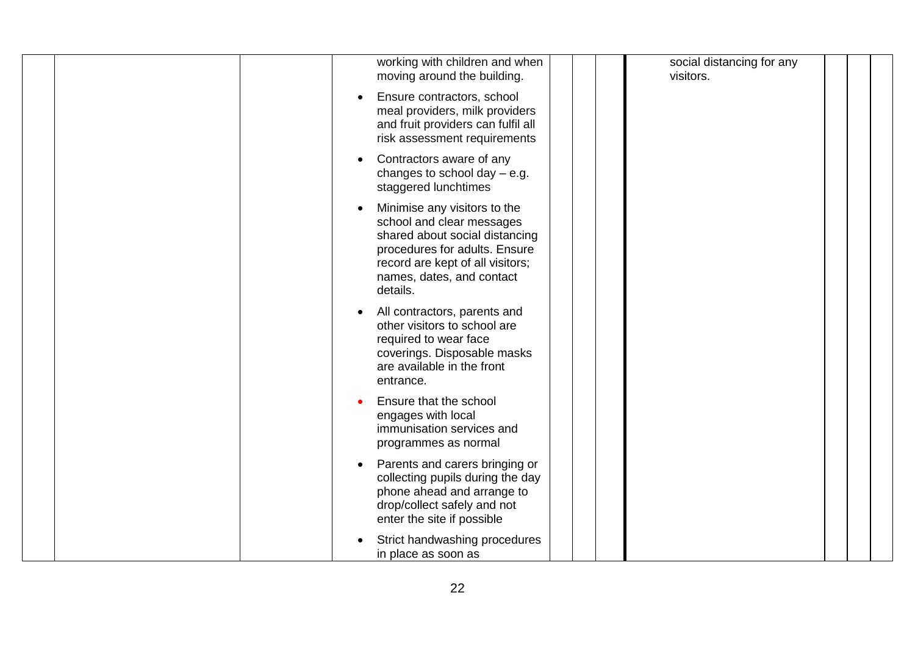|  | working with children and when<br>moving around the building.                                                                                                                                             | social distancing for any<br>visitors. |  |
|--|-----------------------------------------------------------------------------------------------------------------------------------------------------------------------------------------------------------|----------------------------------------|--|
|  | Ensure contractors, school<br>meal providers, milk providers<br>and fruit providers can fulfil all<br>risk assessment requirements                                                                        |                                        |  |
|  | Contractors aware of any<br>changes to school day $-$ e.g.<br>staggered lunchtimes                                                                                                                        |                                        |  |
|  | Minimise any visitors to the<br>school and clear messages<br>shared about social distancing<br>procedures for adults. Ensure<br>record are kept of all visitors;<br>names, dates, and contact<br>details. |                                        |  |
|  | All contractors, parents and<br>other visitors to school are<br>required to wear face<br>coverings. Disposable masks<br>are available in the front<br>entrance.                                           |                                        |  |
|  | Ensure that the school<br>engages with local<br>immunisation services and<br>programmes as normal                                                                                                         |                                        |  |
|  | Parents and carers bringing or<br>collecting pupils during the day<br>phone ahead and arrange to<br>drop/collect safely and not<br>enter the site if possible                                             |                                        |  |
|  | Strict handwashing procedures<br>in place as soon as                                                                                                                                                      |                                        |  |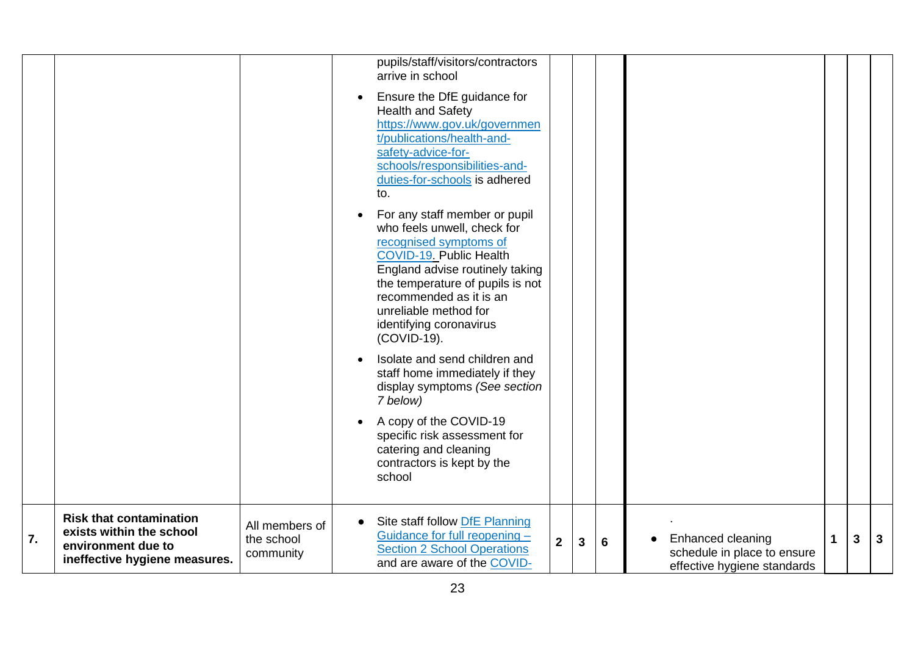|    |                                                                                                                   |                                           | pupils/staff/visitors/contractors<br>arrive in school<br>Ensure the DfE guidance for<br><b>Health and Safety</b><br>https://www.gov.uk/governmen<br>t/publications/health-and-<br>safety-advice-for-<br>schools/responsibilities-and-<br>duties-for-schools is adhered<br>to.<br>For any staff member or pupil<br>who feels unwell, check for |             |   |   |
|----|-------------------------------------------------------------------------------------------------------------------|-------------------------------------------|-----------------------------------------------------------------------------------------------------------------------------------------------------------------------------------------------------------------------------------------------------------------------------------------------------------------------------------------------|-------------|---|---|
|    |                                                                                                                   |                                           | recognised symptoms of<br>COVID-19. Public Health<br>England advise routinely taking<br>the temperature of pupils is not<br>recommended as it is an<br>unreliable method for<br>identifying coronavirus<br>(COVID-19).                                                                                                                        |             |   |   |
|    |                                                                                                                   |                                           | Isolate and send children and<br>staff home immediately if they<br>display symptoms (See section<br>7 below)<br>A copy of the COVID-19<br>specific risk assessment for<br>catering and cleaning<br>contractors is kept by the<br>school                                                                                                       |             |   |   |
| 7. | <b>Risk that contamination</b><br>exists within the school<br>environment due to<br>ineffective hygiene measures. | All members of<br>the school<br>community | Site staff follow DfE Planning<br>Guidance for full reopening -<br>Enhanced cleaning<br>$\mathbf 2$<br>6<br>3<br><b>Section 2 School Operations</b><br>schedule in place to ensure<br>and are aware of the COVID-<br>effective hygiene standards                                                                                              | $\mathbf 1$ | 3 | 3 |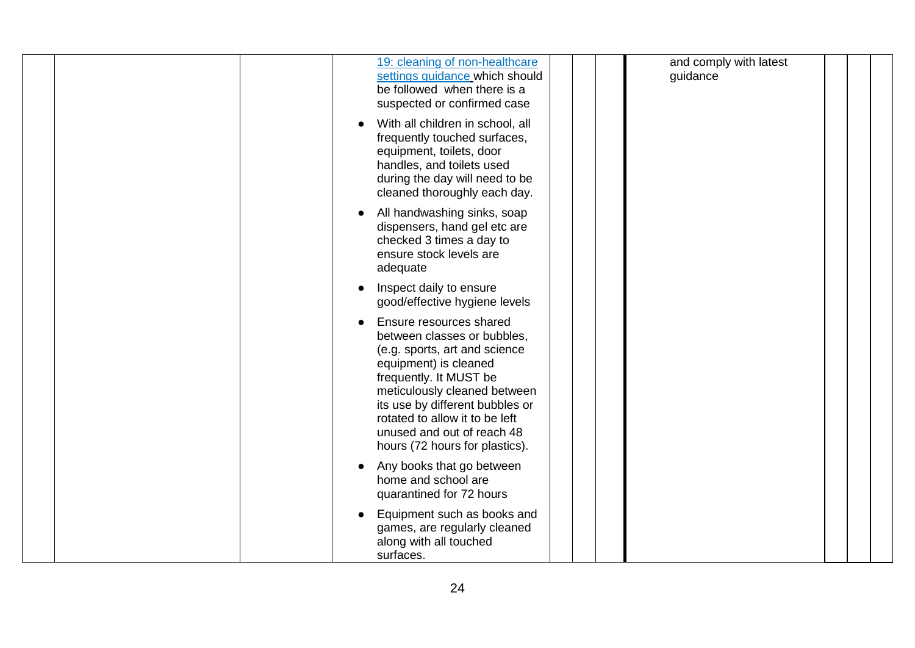| 19: cleaning of non-healthcare<br>settings guidance which should<br>be followed when there is a<br>suspected or confirmed case                                                                                                                                                                                  | and comply with latest<br>guidance |  |
|-----------------------------------------------------------------------------------------------------------------------------------------------------------------------------------------------------------------------------------------------------------------------------------------------------------------|------------------------------------|--|
| With all children in school, all<br>frequently touched surfaces,<br>equipment, toilets, door<br>handles, and toilets used<br>during the day will need to be<br>cleaned thoroughly each day.                                                                                                                     |                                    |  |
| All handwashing sinks, soap<br>dispensers, hand gel etc are<br>checked 3 times a day to<br>ensure stock levels are<br>adequate                                                                                                                                                                                  |                                    |  |
| Inspect daily to ensure<br>good/effective hygiene levels                                                                                                                                                                                                                                                        |                                    |  |
| Ensure resources shared<br>between classes or bubbles,<br>(e.g. sports, art and science<br>equipment) is cleaned<br>frequently. It MUST be<br>meticulously cleaned between<br>its use by different bubbles or<br>rotated to allow it to be left<br>unused and out of reach 48<br>hours (72 hours for plastics). |                                    |  |
| Any books that go between<br>home and school are<br>quarantined for 72 hours                                                                                                                                                                                                                                    |                                    |  |
| Equipment such as books and<br>games, are regularly cleaned<br>along with all touched<br>surfaces.                                                                                                                                                                                                              |                                    |  |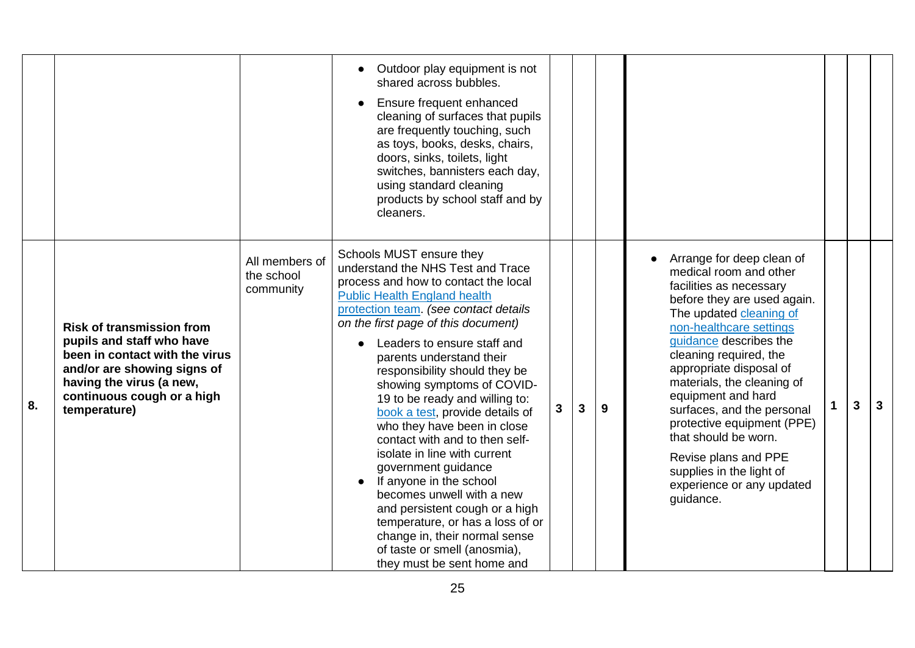|    |                                                                                                                                                                                                          |                                           | Outdoor play equipment is not<br>shared across bubbles.<br>Ensure frequent enhanced<br>cleaning of surfaces that pupils<br>are frequently touching, such<br>as toys, books, desks, chairs,<br>doors, sinks, toilets, light<br>switches, bannisters each day,<br>using standard cleaning<br>products by school staff and by<br>cleaners.                                                                                                                                                                                                                                                                                                                                                                                                                                          |   |              |   |                                                                                                                                                                                                                                                                                                                                                                                                                                                                                          |   |   |
|----|----------------------------------------------------------------------------------------------------------------------------------------------------------------------------------------------------------|-------------------------------------------|----------------------------------------------------------------------------------------------------------------------------------------------------------------------------------------------------------------------------------------------------------------------------------------------------------------------------------------------------------------------------------------------------------------------------------------------------------------------------------------------------------------------------------------------------------------------------------------------------------------------------------------------------------------------------------------------------------------------------------------------------------------------------------|---|--------------|---|------------------------------------------------------------------------------------------------------------------------------------------------------------------------------------------------------------------------------------------------------------------------------------------------------------------------------------------------------------------------------------------------------------------------------------------------------------------------------------------|---|---|
| 8. | <b>Risk of transmission from</b><br>pupils and staff who have<br>been in contact with the virus<br>and/or are showing signs of<br>having the virus (a new,<br>continuous cough or a high<br>temperature) | All members of<br>the school<br>community | Schools MUST ensure they<br>understand the NHS Test and Trace<br>process and how to contact the local<br><b>Public Health England health</b><br>protection team. (see contact details<br>on the first page of this document)<br>Leaders to ensure staff and<br>parents understand their<br>responsibility should they be<br>showing symptoms of COVID-<br>19 to be ready and willing to:<br>book a test, provide details of<br>who they have been in close<br>contact with and to then self-<br>isolate in line with current<br>government guidance<br>If anyone in the school<br>becomes unwell with a new<br>and persistent cough or a high<br>temperature, or has a loss of or<br>change in, their normal sense<br>of taste or smell (anosmia),<br>they must be sent home and | 3 | $\mathbf{3}$ | 9 | Arrange for deep clean of<br>medical room and other<br>facilities as necessary<br>before they are used again.<br>The updated cleaning of<br>non-healthcare settings<br>guidance describes the<br>cleaning required, the<br>appropriate disposal of<br>materials, the cleaning of<br>equipment and hard<br>surfaces, and the personal<br>protective equipment (PPE)<br>that should be worn.<br>Revise plans and PPE<br>supplies in the light of<br>experience or any updated<br>quidance. | 3 | 3 |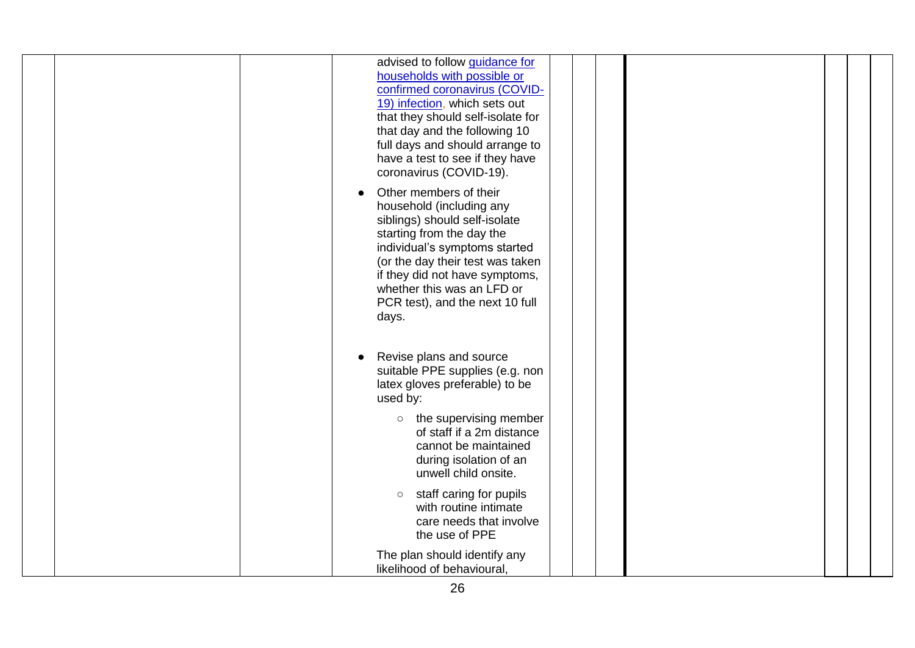| advised to follow <b>guidance</b> for<br>households with possible or<br>confirmed coronavirus (COVID-<br>19) infection, which sets out<br>that they should self-isolate for<br>that day and the following 10<br>full days and should arrange to<br>have a test to see if they have<br>coronavirus (COVID-19).<br>Other members of their<br>household (including any<br>siblings) should self-isolate<br>starting from the day the<br>individual's symptoms started<br>(or the day their test was taken<br>if they did not have symptoms,<br>whether this was an LFD or<br>PCR test), and the next 10 full<br>days. |
|--------------------------------------------------------------------------------------------------------------------------------------------------------------------------------------------------------------------------------------------------------------------------------------------------------------------------------------------------------------------------------------------------------------------------------------------------------------------------------------------------------------------------------------------------------------------------------------------------------------------|
| Revise plans and source<br>suitable PPE supplies (e.g. non<br>latex gloves preferable) to be<br>used by:<br>the supervising member<br>$\circ$                                                                                                                                                                                                                                                                                                                                                                                                                                                                      |
| of staff if a 2m distance<br>cannot be maintained<br>during isolation of an<br>unwell child onsite.                                                                                                                                                                                                                                                                                                                                                                                                                                                                                                                |
| staff caring for pupils<br>$\circ$<br>with routine intimate<br>care needs that involve<br>the use of PPE                                                                                                                                                                                                                                                                                                                                                                                                                                                                                                           |
| The plan should identify any<br>likelihood of behavioural,                                                                                                                                                                                                                                                                                                                                                                                                                                                                                                                                                         |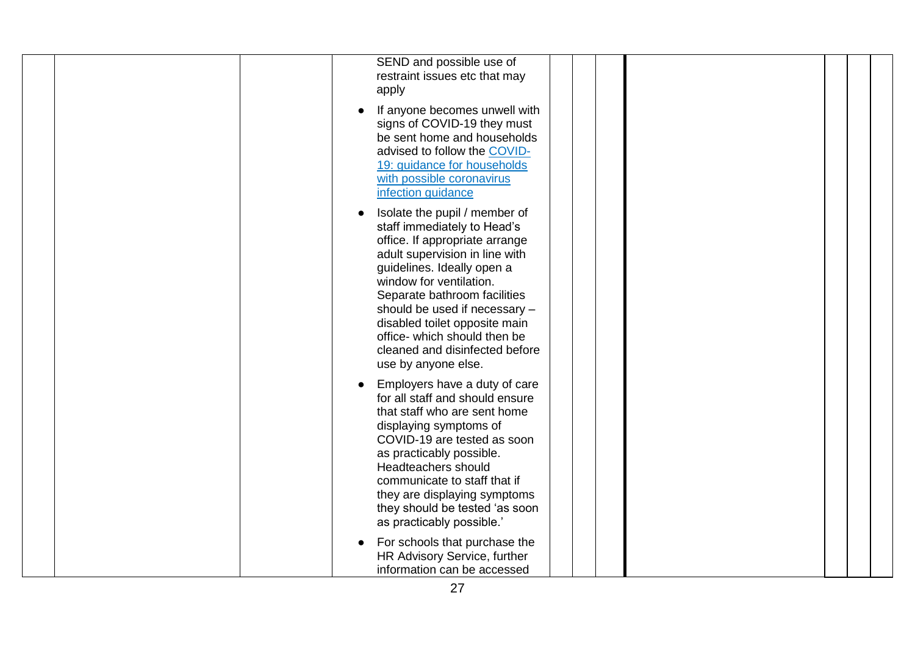| SEND and possible use of<br>restraint issues etc that may<br>apply                                                                                                                                                                                                                                                                                                                   |
|--------------------------------------------------------------------------------------------------------------------------------------------------------------------------------------------------------------------------------------------------------------------------------------------------------------------------------------------------------------------------------------|
| If anyone becomes unwell with<br>signs of COVID-19 they must<br>be sent home and households<br>advised to follow the COVID-<br>19: guidance for households<br>with possible coronavirus<br>infection guidance                                                                                                                                                                        |
| Isolate the pupil / member of<br>staff immediately to Head's<br>office. If appropriate arrange<br>adult supervision in line with<br>guidelines. Ideally open a<br>window for ventilation.<br>Separate bathroom facilities<br>should be used if necessary -<br>disabled toilet opposite main<br>office- which should then be<br>cleaned and disinfected before<br>use by anyone else. |
| Employers have a duty of care<br>for all staff and should ensure<br>that staff who are sent home<br>displaying symptoms of<br>COVID-19 are tested as soon<br>as practicably possible.<br>Headteachers should<br>communicate to staff that if<br>they are displaying symptoms<br>they should be tested 'as soon<br>as practicably possible.'                                          |
| For schools that purchase the<br>HR Advisory Service, further<br>information can be accessed                                                                                                                                                                                                                                                                                         |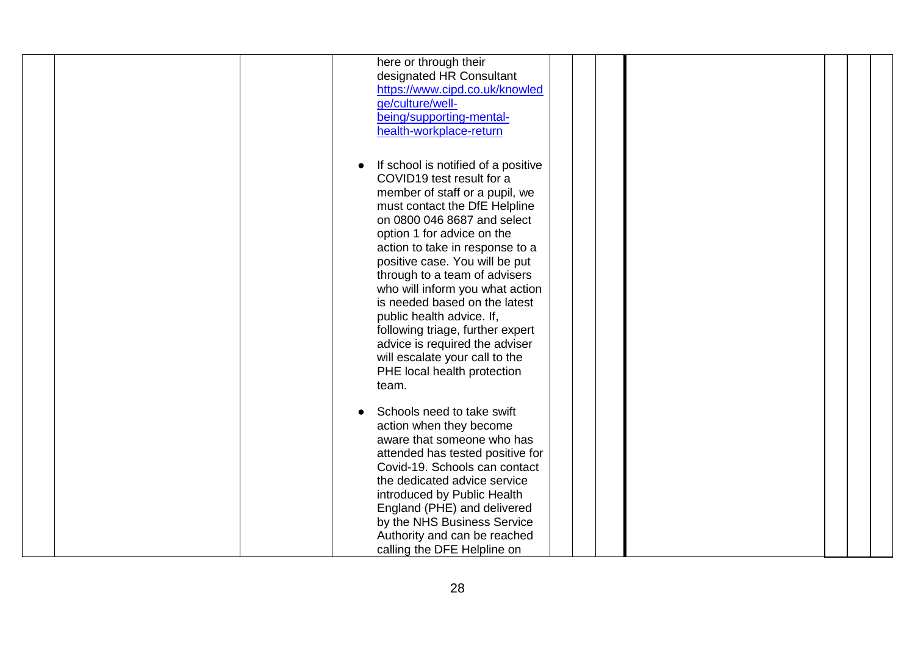| here or through their<br>designated HR Consultant<br>https://www.cipd.co.uk/knowled<br>ge/culture/well-<br>being/supporting-mental-<br>health-workplace-return                                                                                                                                                                                                                                                                                                                                                                                                       |
|----------------------------------------------------------------------------------------------------------------------------------------------------------------------------------------------------------------------------------------------------------------------------------------------------------------------------------------------------------------------------------------------------------------------------------------------------------------------------------------------------------------------------------------------------------------------|
| If school is notified of a positive<br>$\bullet$<br>COVID19 test result for a<br>member of staff or a pupil, we<br>must contact the DfE Helpline<br>on 0800 046 8687 and select<br>option 1 for advice on the<br>action to take in response to a<br>positive case. You will be put<br>through to a team of advisers<br>who will inform you what action<br>is needed based on the latest<br>public health advice. If,<br>following triage, further expert<br>advice is required the adviser<br>will escalate your call to the<br>PHE local health protection<br>team. |
| Schools need to take swift<br>action when they become<br>aware that someone who has<br>attended has tested positive for<br>Covid-19. Schools can contact<br>the dedicated advice service<br>introduced by Public Health<br>England (PHE) and delivered<br>by the NHS Business Service<br>Authority and can be reached<br>calling the DFE Helpline on                                                                                                                                                                                                                 |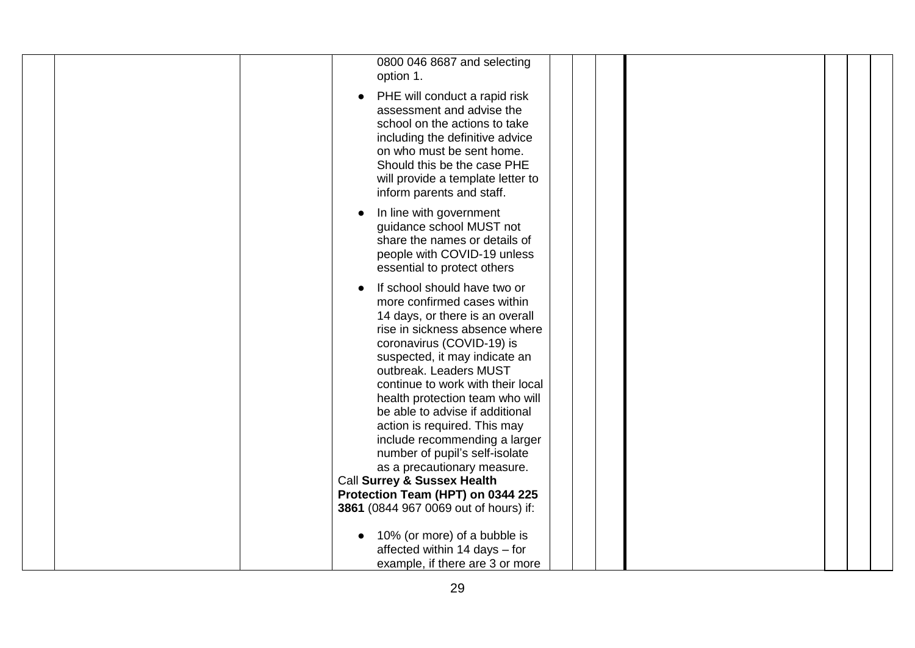| 0800 046 8687 and selecting                                                                                                                                                                                                                                                                                                                                                                                                                                                                          |
|------------------------------------------------------------------------------------------------------------------------------------------------------------------------------------------------------------------------------------------------------------------------------------------------------------------------------------------------------------------------------------------------------------------------------------------------------------------------------------------------------|
| option 1.<br>PHE will conduct a rapid risk<br>assessment and advise the<br>school on the actions to take<br>including the definitive advice<br>on who must be sent home.<br>Should this be the case PHE<br>will provide a template letter to                                                                                                                                                                                                                                                         |
| inform parents and staff.<br>In line with government<br>guidance school MUST not<br>share the names or details of<br>people with COVID-19 unless<br>essential to protect others                                                                                                                                                                                                                                                                                                                      |
| If school should have two or<br>more confirmed cases within<br>14 days, or there is an overall<br>rise in sickness absence where<br>coronavirus (COVID-19) is<br>suspected, it may indicate an<br>outbreak. Leaders MUST<br>continue to work with their local<br>health protection team who will<br>be able to advise if additional<br>action is required. This may<br>include recommending a larger<br>number of pupil's self-isolate<br>as a precautionary measure.<br>Call Surrey & Sussex Health |
| Protection Team (HPT) on 0344 225                                                                                                                                                                                                                                                                                                                                                                                                                                                                    |
| 3861 (0844 967 0069 out of hours) if:                                                                                                                                                                                                                                                                                                                                                                                                                                                                |
| 10% (or more) of a bubble is<br>affected within 14 days - for<br>example, if there are 3 or more                                                                                                                                                                                                                                                                                                                                                                                                     |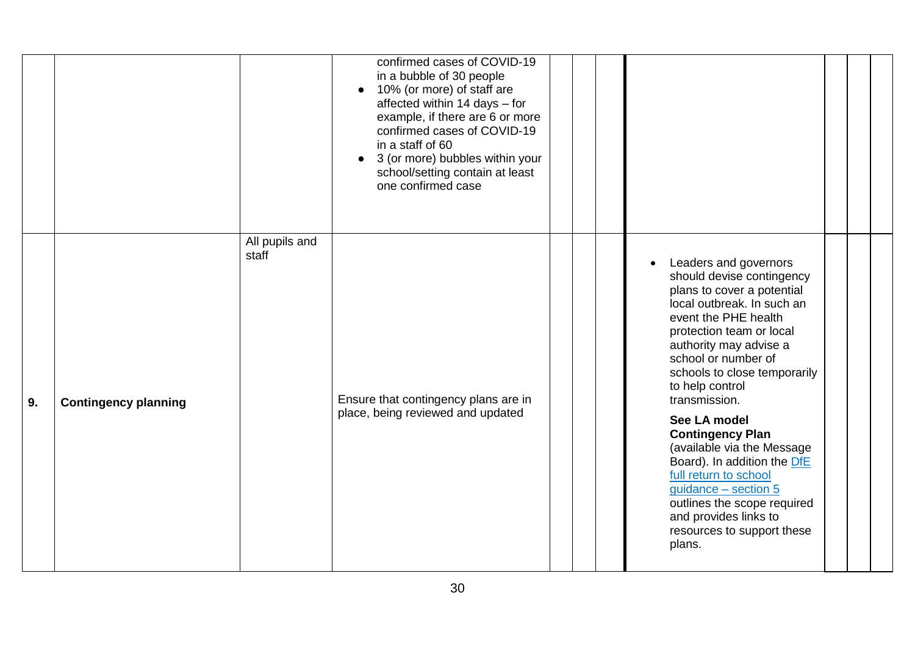|    |                             |                         | confirmed cases of COVID-19<br>in a bubble of 30 people<br>10% (or more) of staff are<br>$\bullet$<br>affected within 14 days - for<br>example, if there are 6 or more<br>confirmed cases of COVID-19<br>in a staff of 60<br>3 (or more) bubbles within your<br>$\bullet$<br>school/setting contain at least<br>one confirmed case |  |                                                                                                                                                                                                                                                                                                                                                                                                                                                                                                                                                    |  |  |
|----|-----------------------------|-------------------------|------------------------------------------------------------------------------------------------------------------------------------------------------------------------------------------------------------------------------------------------------------------------------------------------------------------------------------|--|----------------------------------------------------------------------------------------------------------------------------------------------------------------------------------------------------------------------------------------------------------------------------------------------------------------------------------------------------------------------------------------------------------------------------------------------------------------------------------------------------------------------------------------------------|--|--|
| 9. | <b>Contingency planning</b> | All pupils and<br>staff | Ensure that contingency plans are in<br>place, being reviewed and updated                                                                                                                                                                                                                                                          |  | Leaders and governors<br>should devise contingency<br>plans to cover a potential<br>local outbreak. In such an<br>event the PHE health<br>protection team or local<br>authority may advise a<br>school or number of<br>schools to close temporarily<br>to help control<br>transmission.<br>See LA model<br><b>Contingency Plan</b><br>(available via the Message<br>Board). In addition the DfE<br>full return to school<br>$guidance - section 5$<br>outlines the scope required<br>and provides links to<br>resources to support these<br>plans. |  |  |